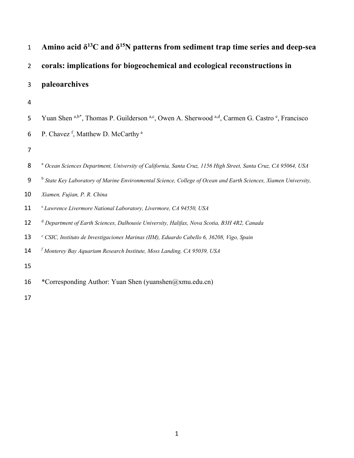| $\mathbf{1}$   | Amino acid $\delta^{13}$ C and $\delta^{15}$ N patterns from sediment trap time series and deep-sea                        |
|----------------|----------------------------------------------------------------------------------------------------------------------------|
| $\overline{2}$ | corals: implications for biogeochemical and ecological reconstructions in                                                  |
| 3              | paleoarchives                                                                                                              |
| 4              |                                                                                                                            |
| 5              | Yuan Shen a,b*, Thomas P. Guilderson a,c, Owen A. Sherwood a,d, Carmen G. Castro <sup>e</sup> , Francisco                  |
| 6              | P. Chavez f, Matthew D. McCarthy <sup>a</sup>                                                                              |
| 7              |                                                                                                                            |
| 8              | <sup>a</sup> Ocean Sciences Department, University of California, Santa Cruz, 1156 High Street, Santa Cruz, CA 95064, USA  |
| $9$            | <sup>b</sup> State Key Laboratory of Marine Environmental Science, College of Ocean and Earth Sciences, Xiamen University, |
| 10             | Xiamen, Fujian, P. R. China                                                                                                |
| 11             | <sup>c</sup> Lawrence Livermore National Laboratory, Livermore, CA 94550, USA                                              |
| 12             | <sup>d</sup> Department of Earth Sciences, Dalhousie University, Halifax, Nova Scotia, B3H 4R2, Canada                     |
| 13             | e CSIC, Instituto de Investigaciones Marinas (IIM), Eduardo Cabello 6, 36208, Vigo, Spain                                  |
| 14             | $f$ Monterey Bay Aquarium Research Institute, Moss Landing, CA 95039, USA                                                  |
| 15             |                                                                                                                            |
| 16             | *Corresponding Author: Yuan Shen (yuanshen@xmu.edu.cn)                                                                     |
| 17             |                                                                                                                            |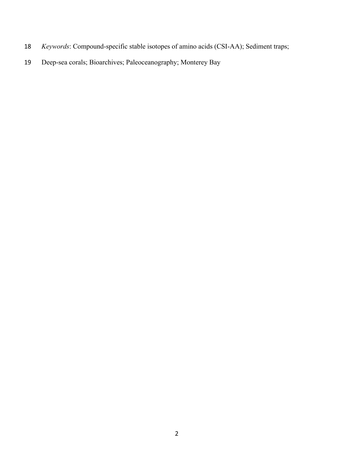- *Keywords*: Compound-specific stable isotopes of amino acids (CSI-AA); Sediment traps;
- Deep-sea corals; Bioarchives; Paleoceanography; Monterey Bay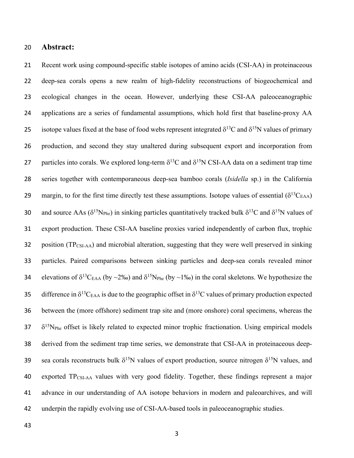### **Abstract:**

 Recent work using compound-specific stable isotopes of amino acids (CSI-AA) in proteinaceous deep-sea corals opens a new realm of high-fidelity reconstructions of biogeochemical and ecological changes in the ocean. However, underlying these CSI-AA paleoceanographic applications are a series of fundamental assumptions, which hold first that baseline-proxy AA 25 isotope values fixed at the base of food webs represent integrated  $\delta^{13}$ C and  $\delta^{15}$ N values of primary production, and second they stay unaltered during subsequent export and incorporation from 27 particles into corals. We explored long-term  $\delta^{13}$ C and  $\delta^{15}$ N CSI-AA data on a sediment trap time series together with contemporaneous deep-sea bamboo corals (*Isidella* sp.) in the California 29 margin, to for the first time directly test these assumptions. Isotope values of essential  $(\delta^{13}C_{EAA})$ 30 and source AAs ( $\delta^{15}N_{\text{Phe}}$ ) in sinking particles quantitatively tracked bulk  $\delta^{13}C$  and  $\delta^{15}N$  values of export production. These CSI-AA baseline proxies varied independently of carbon flux, trophic 32 position (TP<sub>CSI-AA</sub>) and microbial alteration, suggesting that they were well preserved in sinking particles. Paired comparisons between sinking particles and deep-sea corals revealed minor elevations of  $\delta^{13}C_{EAA}$  (by ~2‰) and  $\delta^{15}N_{Phe}$  (by ~1‰) in the coral skeletons. We hypothesize the 35 difference in  $\delta^{13}C_{EAA}$  is due to the geographic offset in  $\delta^{13}C$  values of primary production expected between the (more offshore) sediment trap site and (more onshore) coral specimens, whereas the  $\delta^{15}N_{\text{Phe}}$  offset is likely related to expected minor trophic fractionation. Using empirical models derived from the sediment trap time series, we demonstrate that CSI-AA in proteinaceous deepsea corals reconstructs bulk  $δ<sup>15</sup>N$  values of export production, source nitrogen  $δ<sup>15</sup>N$  values, and exported TPCSI-AA values with very good fidelity. Together, these findings represent a major advance in our understanding of AA isotope behaviors in modern and paleoarchives, and will 42 underpin the rapidly evolving use of CSI-AA-based tools in paleoceanographic studies.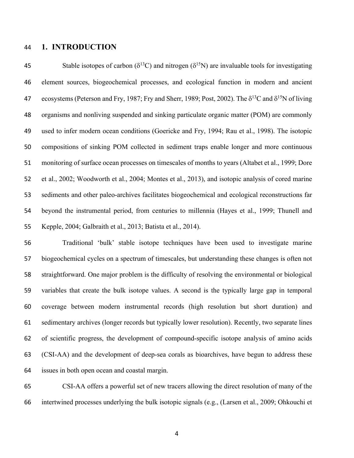## **1. INTRODUCTION**

45 Stable isotopes of carbon ( $\delta^{13}$ C) and nitrogen ( $\delta^{15}$ N) are invaluable tools for investigating element sources, biogeochemical processes, and ecological function in modern and ancient 47 ecosystems (Peterson and Fry, 1987; Fry and Sherr, 1989; Post, 2002). The  $\delta^{13}C$  and  $\delta^{15}N$  of living organisms and nonliving suspended and sinking particulate organic matter (POM) are commonly used to infer modern ocean conditions (Goericke and Fry, 1994; Rau et al., 1998). The isotopic compositions of sinking POM collected in sediment traps enable longer and more continuous monitoring of surface ocean processes on timescales of months to years (Altabet et al., 1999; Dore et al., 2002; Woodworth et al., 2004; Montes et al., 2013), and isotopic analysis of cored marine sediments and other paleo-archives facilitates biogeochemical and ecological reconstructions far beyond the instrumental period, from centuries to millennia (Hayes et al., 1999; Thunell and Kepple, 2004; Galbraith et al., 2013; Batista et al., 2014).

 Traditional 'bulk' stable isotope techniques have been used to investigate marine biogeochemical cycles on a spectrum of timescales, but understanding these changes is often not straightforward. One major problem is the difficulty of resolving the environmental or biological variables that create the bulk isotope values. A second is the typically large gap in temporal coverage between modern instrumental records (high resolution but short duration) and sedimentary archives (longer records but typically lower resolution). Recently, two separate lines of scientific progress, the development of compound-specific isotope analysis of amino acids (CSI-AA) and the development of deep-sea corals as bioarchives, have begun to address these issues in both open ocean and coastal margin.

 CSI-AA offers a powerful set of new tracers allowing the direct resolution of many of the intertwined processes underlying the bulk isotopic signals (e.g., (Larsen et al., 2009; Ohkouchi et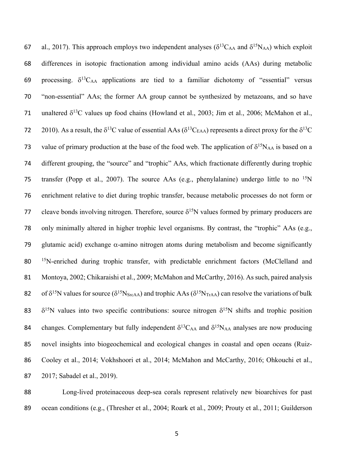67 al., 2017). This approach employs two independent analyses ( $\delta^{13}C_{AA}$  and  $\delta^{15}N_{AA}$ ) which exploit 68 differences in isotopic fractionation among individual amino acids (AAs) during metabolic 69 processing.  $\delta^{13}$ C<sub>AA</sub> applications are tied to a familiar dichotomy of "essential" versus 70 "non-essential" AAs; the former AA group cannot be synthesized by metazoans, and so have 71 unaltered  $\delta^{13}$ C values up food chains (Howland et al., 2003; Jim et al., 2006; McMahon et al., 2010). As a result, the  $\delta^{13}$ C value of essential AAs ( $\delta^{13}$ C<sub>EAA</sub>) represents a direct proxy for the  $\delta^{13}$ C 73 value of primary production at the base of the food web. The application of  $\delta^{15}N_{AA}$  is based on a 74 different grouping, the "source" and "trophic" AAs, which fractionate differently during trophic 75 transfer (Popp et al., 2007). The source AAs (e.g., phenylalanine) undergo little to no  $15N$ 76 enrichment relative to diet during trophic transfer, because metabolic processes do not form or 77 cleave bonds involving nitrogen. Therefore, source  $\delta^{15}N$  values formed by primary producers are 78 only minimally altered in higher trophic level organisms. By contrast, the "trophic" AAs (e.g., 79 glutamic acid) exchange  $\alpha$ -amino nitrogen atoms during metabolism and become significantly 80 <sup>15</sup>N-enriched during trophic transfer, with predictable enrichment factors (McClelland and 81 Montoya, 2002; Chikaraishi et al., 2009; McMahon and McCarthy, 2016). As such, paired analysis 82 of  $\delta^{15}N$  values for source ( $\delta^{15}N_{StcAA}$ ) and trophic AAs ( $\delta^{15}N_{TrAA}$ ) can resolve the variations of bulk 83  $\delta^{15}N$  values into two specific contributions: source nitrogen  $\delta^{15}N$  shifts and trophic position 84 changes. Complementary but fully independent  $\delta^{13}C_{AA}$  and  $\delta^{15}N_{AA}$  analyses are now producing 85 novel insights into biogeochemical and ecological changes in coastal and open oceans (Ruiz-86 Cooley et al., 2014; Vokhshoori et al., 2014; McMahon and McCarthy, 2016; Ohkouchi et al., 87 2017; Sabadel et al., 2019).

88 Long-lived proteinaceous deep-sea corals represent relatively new bioarchives for past 89 ocean conditions (e.g., (Thresher et al., 2004; Roark et al., 2009; Prouty et al., 2011; Guilderson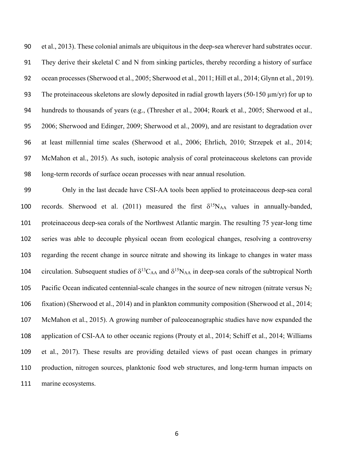et al., 2013). These colonial animals are ubiquitous in the deep-sea wherever hard substrates occur. They derive their skeletal C and N from sinking particles, thereby recording a history of surface ocean processes (Sherwood et al., 2005; Sherwood et al., 2011; Hill et al., 2014; Glynn et al., 2019). 93 The proteinaceous skeletons are slowly deposited in radial growth layers (50-150  $\mu$ m/yr) for up to hundreds to thousands of years (e.g., (Thresher et al., 2004; Roark et al., 2005; Sherwood et al., 2006; Sherwood and Edinger, 2009; Sherwood et al., 2009), and are resistant to degradation over at least millennial time scales (Sherwood et al., 2006; Ehrlich, 2010; Strzepek et al., 2014; McMahon et al., 2015). As such, isotopic analysis of coral proteinaceous skeletons can provide long-term records of surface ocean processes with near annual resolution.

 Only in the last decade have CSI-AA tools been applied to proteinaceous deep-sea coral 100 records. Sherwood et al. (2011) measured the first  $\delta^{15}N_{AA}$  values in annually-banded, proteinaceous deep-sea corals of the Northwest Atlantic margin. The resulting 75 year-long time series was able to decouple physical ocean from ecological changes, resolving a controversy regarding the recent change in source nitrate and showing its linkage to changes in water mass 104 circulation. Subsequent studies of  $\delta^{13}C_{AA}$  and  $\delta^{15}N_{AA}$  in deep-sea corals of the subtropical North 105 Pacific Ocean indicated centennial-scale changes in the source of new nitrogen (nitrate versus  $N_2$ ) fixation) (Sherwood et al., 2014) and in plankton community composition (Sherwood et al., 2014; McMahon et al., 2015). A growing number of paleoceanographic studies have now expanded the application of CSI-AA to other oceanic regions (Prouty et al., 2014; Schiff et al., 2014; Williams et al., 2017). These results are providing detailed views of past ocean changes in primary production, nitrogen sources, planktonic food web structures, and long-term human impacts on marine ecosystems.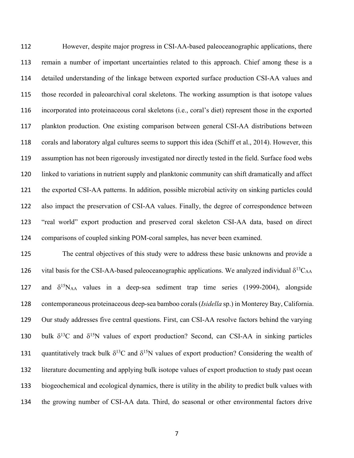However, despite major progress in CSI-AA-based paleoceanographic applications, there remain a number of important uncertainties related to this approach. Chief among these is a detailed understanding of the linkage between exported surface production CSI-AA values and those recorded in paleoarchival coral skeletons. The working assumption is that isotope values incorporated into proteinaceous coral skeletons (i.e., coral's diet) represent those in the exported plankton production. One existing comparison between general CSI-AA distributions between corals and laboratory algal cultures seems to support this idea (Schiff et al., 2014). However, this assumption has not been rigorously investigated nor directly tested in the field. Surface food webs linked to variations in nutrient supply and planktonic community can shift dramatically and affect the exported CSI-AA patterns. In addition, possible microbial activity on sinking particles could also impact the preservation of CSI-AA values. Finally, the degree of correspondence between "real world" export production and preserved coral skeleton CSI-AA data, based on direct comparisons of coupled sinking POM-coral samples, has never been examined.

 The central objectives of this study were to address these basic unknowns and provide a 126 vital basis for the CSI-AA-based paleoceanographic applications. We analyzed individual  $\delta^{13}C_{AA}$ 127 and  $\delta^{15}N_{AA}$  values in a deep-sea sediment trap time series (1999-2004), alongside contemporaneous proteinaceous deep-sea bamboo corals (*Isidella* sp.) in Monterey Bay, California. Our study addresses five central questions. First, can CSI-AA resolve factors behind the varying 130 bulk  $\delta^{13}C$  and  $\delta^{15}N$  values of export production? Second, can CSI-AA in sinking particles 131 quantitatively track bulk  $\delta^{13}C$  and  $\delta^{15}N$  values of export production? Considering the wealth of literature documenting and applying bulk isotope values of export production to study past ocean biogeochemical and ecological dynamics, there is utility in the ability to predict bulk values with the growing number of CSI-AA data. Third, do seasonal or other environmental factors drive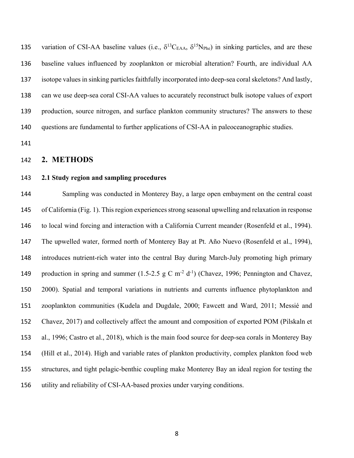135 variation of CSI-AA baseline values (i.e.,  $\delta^{13}C_{EAA}$ ,  $\delta^{15}N_{Phe}$ ) in sinking particles, and are these baseline values influenced by zooplankton or microbial alteration? Fourth, are individual AA isotope values in sinking particles faithfully incorporated into deep-sea coral skeletons? And lastly, can we use deep-sea coral CSI-AA values to accurately reconstruct bulk isotope values of export production, source nitrogen, and surface plankton community structures? The answers to these questions are fundamental to further applications of CSI-AA in paleoceanographic studies.

## **2. METHODS**

### **2.1 Study region and sampling procedures**

 Sampling was conducted in Monterey Bay, a large open embayment on the central coast 145 of California (Fig. 1). This region experiences strong seasonal upwelling and relaxation in response to local wind forcing and interaction with a California Current meander (Rosenfeld et al., 1994). The upwelled water, formed north of Monterey Bay at Pt. Año Nuevo (Rosenfeld et al., 1994), introduces nutrient-rich water into the central Bay during March-July promoting high primary 149 production in spring and summer  $(1.5{\text -}2.5 \text{ g C m}^2 d^{-1})$  (Chavez, 1996; Pennington and Chavez, 2000). Spatial and temporal variations in nutrients and currents influence phytoplankton and zooplankton communities (Kudela and Dugdale, 2000; Fawcett and Ward, 2011; Messié and Chavez, 2017) and collectively affect the amount and composition of exported POM (Pilskaln et al., 1996; Castro et al., 2018), which is the main food source for deep-sea corals in Monterey Bay (Hill et al., 2014). High and variable rates of plankton productivity, complex plankton food web structures, and tight pelagic-benthic coupling make Monterey Bay an ideal region for testing the utility and reliability of CSI-AA-based proxies under varying conditions.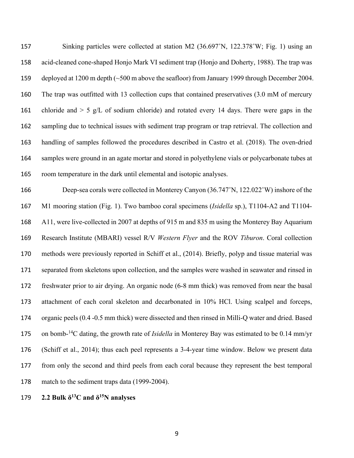Sinking particles were collected at station M2 (36.697˚N, 122.378˚W; Fig. 1) using an acid-cleaned cone-shaped Honjo Mark VI sediment trap (Honjo and Doherty, 1988). The trap was deployed at 1200 m depth (~500 m above the seafloor) from January 1999 through December 2004. The trap was outfitted with 13 collection cups that contained preservatives (3.0 mM of mercury 161 chloride and  $> 5$  g/L of sodium chloride) and rotated every 14 days. There were gaps in the sampling due to technical issues with sediment trap program or trap retrieval. The collection and handling of samples followed the procedures described in Castro et al. (2018). The oven-dried samples were ground in an agate mortar and stored in polyethylene vials or polycarbonate tubes at room temperature in the dark until elemental and isotopic analyses.

 Deep-sea corals were collected in Monterey Canyon (36.747˚N, 122.022˚W) inshore of the M1 mooring station (Fig. 1). Two bamboo coral specimens (*Isidella* sp.), T1104-A2 and T1104- A11, were live-collected in 2007 at depths of 915 m and 835 m using the Monterey Bay Aquarium Research Institute (MBARI) vessel R/V *Western Flyer* and the ROV *Tiburon*. Coral collection methods were previously reported in Schiff et al., (2014). Briefly, polyp and tissue material was separated from skeletons upon collection, and the samples were washed in seawater and rinsed in freshwater prior to air drying. An organic node (6-8 mm thick) was removed from near the basal attachment of each coral skeleton and decarbonated in 10% HCl. Using scalpel and forceps, organic peels (0.4 -0.5 mm thick) were dissected and then rinsed in Milli-Q water and dried. Based 175 on bomb-<sup>14</sup>C dating, the growth rate of *Isidella* in Monterey Bay was estimated to be 0.14 mm/yr (Schiff et al., 2014); thus each peel represents a 3-4-year time window. Below we present data from only the second and third peels from each coral because they represent the best temporal match to the sediment traps data (1999-2004).

**2.2 Bulk**  $\delta^{13}$ **C** and  $\delta^{15}$ **N** analyses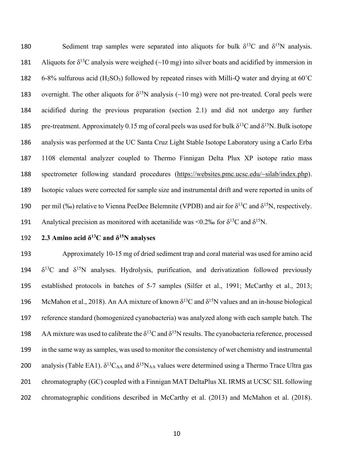180 Sediment trap samples were separated into aliquots for bulk  $\delta^{13}C$  and  $\delta^{15}N$  analysis. Aliquots for  $\delta^{13}$ C analysis were weighed (~10 mg) into silver boats and acidified by immersion in 182 6-8% sulfurous acid  $(H_2SO_3)$  followed by repeated rinses with Milli-Q water and drying at 60<sup>°</sup>C 183 overnight. The other aliquots for  $\delta^{15}N$  analysis (~10 mg) were not pre-treated. Coral peels were 184 acidified during the previous preparation (section 2.1) and did not undergo any further 185 pre-treatment. Approximately 0.15 mg of coral peels was used for bulk  $\delta^{13}C$  and  $\delta^{15}N$ . Bulk isotope 186 analysis was performed at the UC Santa Cruz Light Stable Isotope Laboratory using a Carlo Erba 187 1108 elemental analyzer coupled to Thermo Finnigan Delta Plux XP isotope ratio mass 188 spectrometer following standard procedures (https://websites.pmc.ucsc.edu/~silab/index.php). 189 Isotopic values were corrected for sample size and instrumental drift and were reported in units of 190 per mil (‰) relative to Vienna PeeDee Belemnite (VPDB) and air for  $\delta^{13}C$  and  $\delta^{15}N$ , respectively. Analytical precision as monitored with acetanilide was <0.2‰ for  $\delta^{13}C$  and  $\delta^{15}N$ .

## **2.3 Amino acid**  $\delta^{13}$ **C and**  $\delta^{15}$ **N analyses**

193 Approximately 10-15 mg of dried sediment trap and coral material was used for amino acid 194  $\delta^{13}$ C and  $\delta^{15}$ N analyses. Hydrolysis, purification, and derivatization followed previously 195 established protocols in batches of 5-7 samples (Silfer et al., 1991; McCarthy et al., 2013; 196 McMahon et al., 2018). An AA mixture of known  $\delta^{13}C$  and  $\delta^{15}N$  values and an in-house biological 197 reference standard (homogenized cyanobacteria) was analyzed along with each sample batch. The 198 AA mixture was used to calibrate the  $\delta^{13}C$  and  $\delta^{15}N$  results. The cyanobacteria reference, processed 199 in the same way as samples, was used to monitor the consistency of wet chemistry and instrumental 200 analysis (Table EA1).  $\delta^{13}C_{AA}$  and  $\delta^{15}N_{AA}$  values were determined using a Thermo Trace Ultra gas 201 chromatography (GC) coupled with a Finnigan MAT DeltaPlus XL IRMS at UCSC SIL following 202 chromatographic conditions described in McCarthy et al. (2013) and McMahon et al. (2018).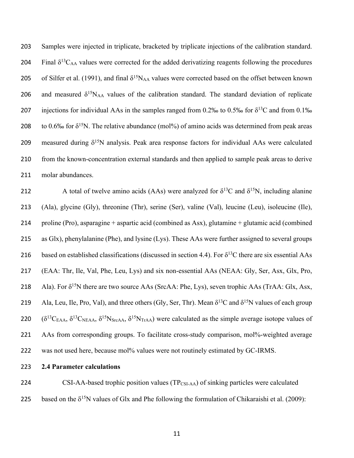203 Samples were injected in triplicate, bracketed by triplicate injections of the calibration standard. 204 Final  $\delta^{13}C_{AA}$  values were corrected for the added derivatizing reagents following the procedures 205 of Silfer et al. (1991), and final  $\delta^{15}N_{AA}$  values were corrected based on the offset between known 206 and measured  $\delta^{15}N_{AA}$  values of the calibration standard. The standard deviation of replicate 207 injections for individual AAs in the samples ranged from 0.2‰ to 0.5‰ for  $\delta^{13}$ C and from 0.1‰ 208 to 0.6‰ for  $\delta^{15}N$ . The relative abundance (mol%) of amino acids was determined from peak areas 209 measured during  $\delta^{15}N$  analysis. Peak area response factors for individual AAs were calculated 210 from the known-concentration external standards and then applied to sample peak areas to derive 211 molar abundances.

212 A total of twelve amino acids (AAs) were analyzed for  $\delta^{13}$ C and  $\delta^{15}$ N, including alanine 213 (Ala), glycine (Gly), threonine (Thr), serine (Ser), valine (Val), leucine (Leu), isoleucine (Ile), 214 proline (Pro), asparagine + aspartic acid (combined as Asx), glutamine + glutamic acid (combined 215 as Glx), phenylalanine (Phe), and lysine (Lys). These AAs were further assigned to several groups 216 based on established classifications (discussed in section 4.4). For  $\delta^{13}$ C there are six essential AAs 217 (EAA: Thr, Ile, Val, Phe, Leu, Lys) and six non-essential AAs (NEAA: Gly, Ser, Asx, Glx, Pro, 218 Ala). For  $\delta^{15}N$  there are two source AAs (SrcAA: Phe, Lys), seven trophic AAs (TrAA: Glx, Asx, 219 Ala, Leu, Ile, Pro, Val), and three others (Gly, Ser, Thr). Mean  $\delta^{13}C$  and  $\delta^{15}N$  values of each group 220  $(\delta^{13}C_{EAA}, \delta^{13}C_{NEAA}, \delta^{15}N_{StcAA}, \delta^{15}N_{TrAA})$  were calculated as the simple average isotope values of 221 AAs from corresponding groups. To facilitate cross-study comparison, mol%-weighted average 222 was not used here, because mol% values were not routinely estimated by GC-IRMS.

223 **2.4 Parameter calculations**

224 CSI-AA-based trophic position values (TP<sub>CSI-AA</sub>) of sinking particles were calculated 225 based on the  $\delta^{15}N$  values of Glx and Phe following the formulation of Chikaraishi et al. (2009):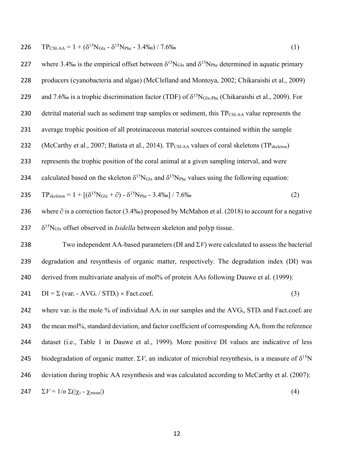$T_{\text{CSI-AA}} = 1 + (\delta^{15} N_{\text{Glx}} - \delta^{15} N_{\text{Phe}} - 3.4\%) / 7.6\%$  (1)

227 where 3.4‰ is the empirical offset between  $\delta^{15}N_{\text{Glx}}$  and  $\delta^{15}N_{\text{Phe}}$  determined in aquatic primary 228 producers (cyanobacteria and algae) (McClelland and Montoya, 2002; Chikaraishi et al., 2009) 229 and 7.6‰ is a trophic discrimination factor (TDF) of  $\delta^{15}N_{\text{Glx-Phe}}$  (Chikaraishi et al., 2009). For 230 detrital material such as sediment trap samples or sediment, this  $TP_{CSI-AA}$  value represents the 231 average trophic position of all proteinaceous material sources contained within the sample 232 (McCarthy et al., 2007; Batista et al., 2014). TP<sub>CSI-AA</sub> values of coral skeletons (TP<sub>skeleton</sub>) 233 represents the trophic position of the coral animal at a given sampling interval, and were 234 calculated based on the skeleton  $\delta^{15}N_{\text{Glx}}$  and  $\delta^{15}N_{\text{Phe}}$  values using the following equation: 235  $TP_{\text{skeleton}} = 1 + [(\delta^{15}N_{\text{G1x}} + \partial) - \delta^{15}N_{\text{Phe}} - 3.4\% \text{e}] / 7.6\%$  (2) 236 where ∂ is a correction factor (3.4‰) proposed by McMahon et al. (2018) to account for a negative  $\delta^{15}N_{\text{Glx}}$  offset observed in *Isidella* between skeleton and polyp tissue. 238 Two independent AA-based parameters (DI and  $\Sigma V$ ) were calculated to assess the bacterial 239 degradation and resynthesis of organic matter, respectively. The degradation index (DI) was 240 derived from multivariate analysis of mol% of protein AAs following Dauwe et al. (1999): 241  $DI = \sum (var_i - AVG_i / STD_i) \times Fact.coef_i$  (3) 242 where var<sub>*i*</sub> is the mole % of individual  $AA_i$  in our samples and the  $AVG_i$ ,  $STD_i$  and Fact.coef<sub>*i*</sub> are 243 the mean mol%, standard deviation, and factor coefficient of corresponding AA*<sup>i</sup>* from the reference 244 dataset (i.e., Table 1 in Dauwe et al., 1999). More positive DI values are indicative of less biodegradation of organic matter.  $\Sigma V$ , an indicator of microbial resynthesis, is a measure of  $\delta^{15}N$ 246 deviation during trophic AA resynthesis and was calculated according to McCarthy et al. (2007):

$$
\Sigma V = 1/n \Sigma (|\chi_i - \chi_{\text{mean}}|) \tag{4}
$$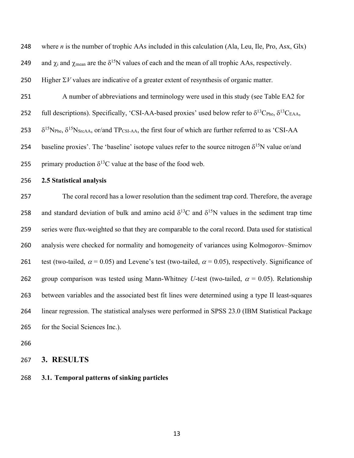248 where *n* is the number of trophic AAs included in this calculation (Ala, Leu, Ile, Pro, Asx, Glx) 249 and  $\chi_i$  and  $\chi_{mean}$  are the  $\delta^{15}N$  values of each and the mean of all trophic AAs, respectively. 250 Higher  $\Sigma V$  values are indicative of a greater extent of resynthesis of organic matter. 251 A number of abbreviations and terminology were used in this study (see Table EA2 for 252 full descriptions). Specifically, 'CSI-AA-based proxies' used below refer to  $\delta^{13}C_{\text{Phe}}$ ,  $\delta^{13}C_{\text{EAA}}$ , 253  $\delta^{15}N_{\text{Phe}}, \delta^{15}N_{\text{SrcAA}}, \text{or/and TP}_{\text{CSI-AA}},$  the first four of which are further referred to as 'CSI-AA 254 baseline proxies'. The 'baseline' isotope values refer to the source nitrogen  $\delta^{15}N$  value or/and 255 primary production  $\delta^{13}$ C value at the base of the food web. 256 **2.5 Statistical analysis** 257 The coral record has a lower resolution than the sediment trap cord. Therefore, the average 258 and standard deviation of bulk and amino acid  $\delta^{13}$ C and  $\delta^{15}$ N values in the sediment trap time 259 series were flux-weighted so that they are comparable to the coral record. Data used for statistical 260 analysis were checked for normality and homogeneity of variances using Kolmogorov–Smirnov 261 test (two-tailed,  $\alpha$  = 0.05) and Levene's test (two-tailed,  $\alpha$  = 0.05), respectively. Significance of 262 group comparison was tested using Mann-Whitney *U*-test (two-tailed,  $\alpha = 0.05$ ). Relationship 263 between variables and the associated best fit lines were determined using a type II least-squares 264 linear regression. The statistical analyses were performed in SPSS 23.0 (IBM Statistical Package 265 for the Social Sciences Inc.). 266

267 **3. RESULTS**

268 **3.1. Temporal patterns of sinking particles**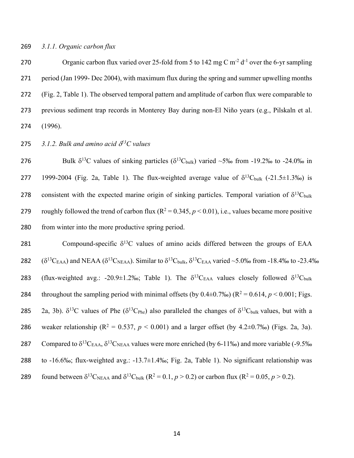#### 269 *3.1.1. Organic carbon flux*

270 Organic carbon flux varied over 25-fold from 5 to 142 mg C  $m<sup>2</sup> d<sup>-1</sup>$  over the 6-yr sampling 271 period (Jan 1999- Dec 2004), with maximum flux during the spring and summer upwelling months 272 (Fig. 2, Table 1). The observed temporal pattern and amplitude of carbon flux were comparable to 273 previous sediment trap records in Monterey Bay during non-El Niño years (e.g., Pilskaln et al. 274 (1996).

**275** 3.1.2. Bulk and amino acid  $\delta^{13}$ C values

276 Bulk  $\delta^{13}$ C values of sinking particles ( $\delta^{13}$ C<sub>bulk</sub>) varied ~5‰ from -19.2‰ to -24.0‰ in 277 1999-2004 (Fig. 2a, Table 1). The flux-weighted average value of  $\delta^{13}$ C<sub>bulk</sub> (-21.5 $\pm$ 1.3‰) is 278 consistent with the expected marine origin of sinking particles. Temporal variation of  $\delta^{13}C_{bulk}$ 279 roughly followed the trend of carbon flux  $(R^2 = 0.345, p \le 0.01)$ , i.e., values became more positive 280 from winter into the more productive spring period.

281 Compound-specific  $\delta^{13}$ C values of amino acids differed between the groups of EAA 282  $(\delta^{13}C_{EAA})$  and NEAA  $(\delta^{13}C_{NEAA})$ . Similar to  $\delta^{13}C_{bulk}$ ,  $\delta^{13}C_{EAA}$  varied ~5.0‰ from -18.4‰ to -23.4‰ 283 (flux-weighted avg.: -20.9±1.2‰; Table 1). The  $\delta^{13}C_{EAA}$  values closely followed  $\delta^{13}C_{bulk}$ 284 throughout the sampling period with minimal offsets (by  $0.4\pm 0.7\%$ ) ( $R^2 = 0.614$ ,  $p < 0.001$ ; Figs. 285 2a, 3b).  $\delta^{13}$ C values of Phe ( $\delta^{13}$ C<sub>Phe</sub>) also paralleled the changes of  $\delta^{13}$ C<sub>bulk</sub> values, but with a 286 weaker relationship ( $R^2 = 0.537$ ,  $p < 0.001$ ) and a larger offset (by 4.2±0.7‰) (Figs. 2a, 3a). 287 Compared to  $\delta^{13}C_{EAA}$ ,  $\delta^{13}C_{NEAA}$  values were more enriched (by 6-11‰) and more variable (-9.5‰ 288 to -16.6‰; flux-weighted avg.: -13.7±1.4‰; Fig. 2a, Table 1). No significant relationship was found between  $\delta^{13}C_{NEAA}$  and  $\delta^{13}C_{bulk}$  ( $R^2 = 0.1$ ,  $p > 0.2$ ) or carbon flux ( $R^2 = 0.05$ ,  $p > 0.2$ ).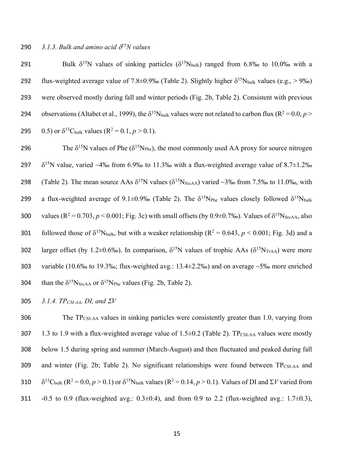291 Bulk  $\delta^{15}N$  values of sinking particles ( $\delta^{15}N_{bulk}$ ) ranged from 6.8‰ to 10.0‰ with a 292 flux-weighted average value of 7.8±0.9‰ (Table 2). Slightly higher  $\delta^{15}N_{bulk}$  values (e.g., > 9‰) 293 were observed mostly during fall and winter periods (Fig. 2b, Table 2). Consistent with previous 294 observations (Altabet et al., 1999), the  $\delta^{15}N_{bulk}$  values were not related to carbon flux ( $R^2 = 0.0, p >$ 295 0.5) or  $\delta^{13}C_{bulk}$  values (R<sup>2</sup> = 0.1, *p* > 0.1).

296 The  $\delta^{15}N$  values of Phe ( $\delta^{15}N_{\text{Phe}}$ ), the most commonly used AA proxy for source nitrogen 297  $\delta^{15}$ N value, varied ~4‰ from 6.9‰ to 11.3‰ with a flux-weighted average value of 8.7±1.2‰ 298 (Table 2). The mean source AAs  $\delta^{15}N$  values ( $\delta^{15}N_{SrcAA}$ ) varied ~3‰ from 7.5‰ to 11.0‰, with 299 a flux-weighted average of 9.1±0.9‰ (Table 2). The  $\delta^{15}N_{\text{Phe}}$  values closely followed  $\delta^{15}N_{\text{bulk}}$ 300 values ( $R^2 = 0.703$ ,  $p < 0.001$ ; Fig. 3c) with small offsets (by 0.9±0.7‰). Values of  $\delta^{15}N_{StcAA}$ , also followed those of  $\delta^{15}N_{bulk}$ , but with a weaker relationship (R<sup>2</sup> = 0.643, *p* < 0.001; Fig. 3d) and a 302 larger offset (by 1.2±0.6‰). In comparison,  $\delta^{15}N$  values of trophic AAs ( $\delta^{15}N_{\text{TrAA}}$ ) were more 303 variable (10.6‰ to 19.3‰; flux-weighted avg.:  $13.4\pm 2.2$ ‰) and on average ~5‰ more enriched 304 than the  $\delta^{15}N_{StcAA}$  or  $\delta^{15}N_{Phe}$  values (Fig. 2b, Table 2).

305 *3.1.4. TPCSI-AA, DI, and* S*V*

306 The  $TP_{CSI-AA}$  values in sinking particles were consistently greater than 1.0, varying from 307 1.3 to 1.9 with a flux-weighted average value of  $1.5\pm0.2$  (Table 2). TP<sub>CSI-AA</sub> values were mostly 308 below 1.5 during spring and summer (March-August) and then fluctuated and peaked during fall 309 and winter (Fig. 2b; Table 2). No significant relationships were found between  $TP_{CSI-AA}$  and 310  $\delta^{13}C_{bulk}$  (R<sup>2</sup> = 0.0, *p* > 0.1) or  $\delta^{15}N_{bulk}$  values (R<sup>2</sup> = 0.14, *p* > 0.1). Values of DI and  $\Sigma V$  varied from 311 -0.5 to 0.9 (flux-weighted avg.:  $0.3\pm0.4$ ), and from 0.9 to 2.2 (flux-weighted avg.: 1.7 $\pm0.3$ ),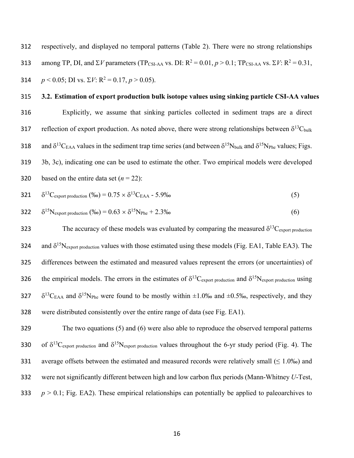312 respectively, and displayed no temporal patterns (Table 2). There were no strong relationships among TP, DI, and  $\Sigma V$  parameters (TP<sub>CSI-AA</sub> vs. DI: R<sup>2</sup> = 0.01,  $p > 0.1$ ; TP<sub>CSI-AA</sub> vs.  $\Sigma V$ : R<sup>2</sup> = 0.31, 314  $p < 0.05$ ; DI vs.  $\Sigma V$ :  $R^2 = 0.17$ ,  $p > 0.05$ ).

#### 315 **3.2. Estimation of export production bulk isotope values using sinking particle CSI-AA values**

316 Explicitly, we assume that sinking particles collected in sediment traps are a direct 317 reflection of export production. As noted above, there were strong relationships between  $\delta^{13}$ C<sub>bulk</sub> 318 and  $\delta^{13}C_{EAA}$  values in the sediment trap time series (and between  $\delta^{15}N_{bulk}$  and  $\delta^{15}N_{Phe}$  values; Figs. 319 3b, 3c), indicating one can be used to estimate the other. Two empirical models were developed 320 based on the entire data set  $(n = 22)$ :

321 
$$
\delta^{13}
$$
C<sub>export production</sub> (%) = 0.75 ×  $\delta^{13}$ C<sub>EAA</sub> - 5.9‰ (5)

322 
$$
\delta^{15}N_{\text{export production}}\ (%0) = 0.63 \times \delta^{15}N_{\text{Phe}} + 2.3\%0
$$
 (6)

323 The accuracy of these models was evaluated by comparing the measured  $\delta^{13}C_{\text{export production}}$ 324 and  $\delta^{15}N_{\text{export production}}$  values with those estimated using these models (Fig. EA1, Table EA3). The 325 differences between the estimated and measured values represent the errors (or uncertainties) of 326 the empirical models. The errors in the estimates of  $\delta^{13}C_{\text{export production}}$  and  $\delta^{15}N_{\text{export production}}$  using 327  $\delta^{13}C_{EAA}$  and  $\delta^{15}N_{Phe}$  were found to be mostly within  $\pm 1.0\%$  and  $\pm 0.5\%$ , respectively, and they 328 were distributed consistently over the entire range of data (see Fig. EA1).

329 The two equations (5) and (6) were also able to reproduce the observed temporal patterns 330 of  $\delta^{13}C_{\text{export production}}$  and  $\delta^{15}N_{\text{export production}}$  values throughout the 6-yr study period (Fig. 4). The 331 average offsets between the estimated and measured records were relatively small ( $\leq 1.0\%$ ) and 332 were not significantly different between high and low carbon flux periods (Mann-Whitney *U*-Test, 333  $p > 0.1$ ; Fig. EA2). These empirical relationships can potentially be applied to paleoarchives to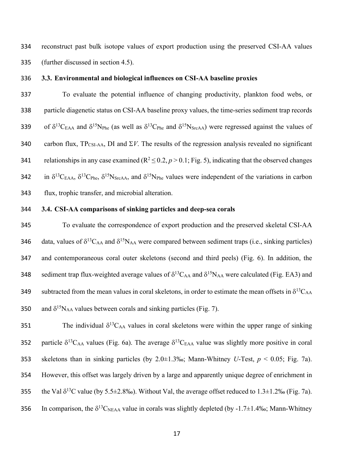334 reconstruct past bulk isotope values of export production using the preserved CSI-AA values 335 (further discussed in section 4.5).

#### 336 **3.3. Environmental and biological influences on CSI-AA baseline proxies**

337 To evaluate the potential influence of changing productivity, plankton food webs, or 338 particle diagenetic status on CSI-AA baseline proxy values, the time-series sediment trap records 339 of  $\delta^{13}C_{EAA}$  and  $\delta^{15}N_{Phe}$  (as well as  $\delta^{13}C_{Phe}$  and  $\delta^{15}N_{SrcAA}$ ) were regressed against the values of 340 carbon flux,  $TP_{CSI-AA}$ , DI and  $\Sigma V$ . The results of the regression analysis revealed no significant relationships in any case examined ( $R^2 \le 0.2$ ,  $p > 0.1$ ; Fig. 5), indicating that the observed changes 342 in  $\delta^{13}C_{EAA}$ ,  $\delta^{13}C_{Phe}$ ,  $\delta^{15}N_{SrcAA}$ , and  $\delta^{15}N_{Phe}$  values were independent of the variations in carbon 343 flux, trophic transfer, and microbial alteration.

#### 344 **3.4. CSI-AA comparisons of sinking particles and deep-sea corals**

345 To evaluate the correspondence of export production and the preserved skeletal CSI-AA 346 data, values of  $\delta^{13}C_{AA}$  and  $\delta^{15}N_{AA}$  were compared between sediment traps (i.e., sinking particles) 347 and contemporaneous coral outer skeletons (second and third peels) (Fig. 6). In addition, the 348 sediment trap flux-weighted average values of  $\delta^{13}C_{AA}$  and  $\delta^{15}N_{AA}$  were calculated (Fig. EA3) and subtracted from the mean values in coral skeletons, in order to estimate the mean offsets in  $\delta^{13}C_{AA}$ 350 and  $\delta^{15}N_{AA}$  values between corals and sinking particles (Fig. 7).

351 The individual  $\delta^{13}$ C<sub>AA</sub> values in coral skeletons were within the upper range of sinking 352 particle  $\delta^{13}C_{AA}$  values (Fig. 6a). The average  $\delta^{13}C_{EAA}$  value was slightly more positive in coral 353 skeletons than in sinking particles (by 2.0±1.3‰; Mann-Whitney *U*-Test, *p* < 0.05; Fig. 7a). 354 However, this offset was largely driven by a large and apparently unique degree of enrichment in 355 the Val  $\delta^{13}$ C value (by 5.5±2.8‰). Without Val, the average offset reduced to 1.3±1.2‰ (Fig. 7a). 356 In comparison, the  $\delta^{13}C_{NEAA}$  value in corals was slightly depleted (by -1.7±1.4‰; Mann-Whitney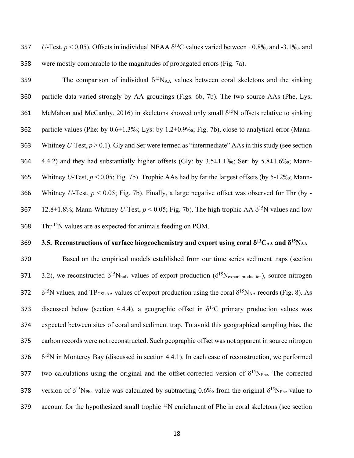357 *U*-Test,  $p < 0.05$ ). Offsets in individual NEAA  $\delta^{13}$ C values varied between +0.8‰ and -3.1‰, and 358 were mostly comparable to the magnitudes of propagated errors (Fig. 7a).

359 159 159 15NAA values between coral skeletons and the sinking particle data varied strongly by AA groupings (Figs. 6b, 7b). The two source AAs (Phe, Lys; 361 McMahon and McCarthy, 2016) in skeletons showed only small  $\delta^{15}N$  offsets relative to sinking particle values (Phe: by 0.6±1.3‰; Lys: by 1.2±0.9‰; Fig. 7b), close to analytical error (Mann- Whitney *U*-Test, *p* > 0.1). Gly and Ser were termed as "intermediate" AAsin this study (see section 4.4.2) and they had substantially higher offsets (Gly: by 3.5±1.1‰; Ser: by 5.8±1.6‰; Mann- Whitney *U*-Test, *p* < 0.05; Fig. 7b). Trophic AAs had by far the largest offsets (by 5-12‰; Mann- Whitney *U*-Test, *p* < 0.05; Fig. 7b). Finally, a large negative offset was observed for Thr (by - 12.8±1.8%; Mann-Whitney *U*-Test,  $p < 0.05$ ; Fig. 7b). The high trophic AA  $\delta^{15}N$  values and low Thr <sup>15</sup>N values are as expected for animals feeding on POM.

## **3.5.** Reconstructions of surface biogeochemistry and export using coral  $\delta^{13}C_{AA}$  and  $\delta^{15}N_{AA}$

370 Based on the empirical models established from our time series sediment traps (section 3.2), we reconstructed  $\delta^{15}N_{bulk}$  values of export production ( $\delta^{15}N_{export\ production}$ ), source nitrogen  $\delta^{15}$ N values, and TP<sub>CSI-AA</sub> values of export production using the coral  $\delta^{15}$ N<sub>AA</sub> records (Fig. 8). As 373 discussed below (section 4.4.4), a geographic offset in  $\delta^{13}$ C primary production values was 374 expected between sites of coral and sediment trap. To avoid this geographical sampling bias, the 375 carbon records were not reconstructed. Such geographic offset was not apparent in source nitrogen 376  $\delta^{15}$ N in Monterey Bay (discussed in section 4.4.1). In each case of reconstruction, we performed 377 two calculations using the original and the offset-corrected version of  $\delta^{15}N_{\text{Phe}}$ . The corrected 378 version of  $\delta^{15}N_{\text{Phe}}$  value was calculated by subtracting 0.6‰ from the original  $\delta^{15}N_{\text{Phe}}$  value to account for the hypothesized small trophic <sup>15</sup>N enrichment of Phe in coral skeletons (see section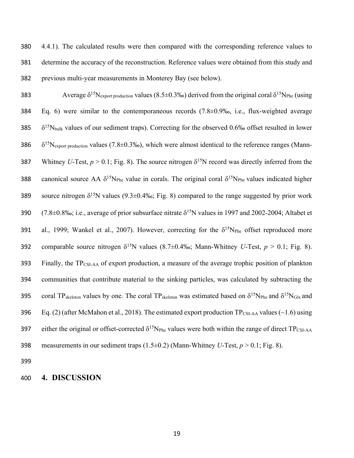380 4.4.1). The calculated results were then compared with the corresponding reference values to 381 determine the accuracy of the reconstruction. Reference values were obtained from this study and 382 previous multi-year measurements in Monterey Bay (see below).

383 Average  $\delta^{15}N_{\text{export production}}$  values (8.5±0.3‰) derived from the original coral  $\delta^{15}N_{\text{Phe}}$  (using 384 Eq. 6) were similar to the contemporaneous records (7.8±0.9‰, i.e., flux-weighted average  $385$   $\delta^{15}$ N<sub>bulk</sub> values of our sediment traps). Correcting for the observed 0.6‰ offset resulted in lower  $386 \delta^{15}N_{\text{export production}}$  values (7.8±0.3‰), which were almost identical to the reference ranges (Mann-387 Whitney *U*-Test,  $p > 0.1$ ; Fig. 8). The source nitrogen  $\delta^{15}N$  record was directly inferred from the 388 canonical source AA  $\delta^{15}N_{\text{Phe}}$  value in corals. The original coral  $\delta^{15}N_{\text{Phe}}$  values indicated higher source nitrogen  $\delta^{15}N$  values (9.3±0.4‰; Fig. 8) compared to the range suggested by prior work 390  $(7.8\pm0.8\%$ ; i.e., average of prior subsurface nitrate  $\delta^{15}N$  values in 1997 and 2002-2004; Altabet et 391 al., 1999; Wankel et al., 2007). However, correcting for the  $\delta^{15}N_{\text{Phe}}$  offset reproduced more comparable source nitrogen  $\delta^{15}N$  values (8.7±0.4‰; Mann-Whitney *U*-Test,  $p > 0.1$ ; Fig. 8). 393 Finally, the TPCSI-AA of export production, a measure of the average trophic position of plankton 394 communities that contribute material to the sinking particles, was calculated by subtracting the 395 coral TP<sub>skeleton</sub> values by one. The coral TP<sub>skeleton</sub> was estimated based on  $\delta^{15}N_{\text{Phe}}$  and  $\delta^{15}N_{\text{Glx}}$  and 396 Eq. (2) (after McMahon et al., 2018). The estimated export production  $TP_{CSI-AA}$  values (~1.6) using 397 either the original or offset-corrected  $\delta^{15}N_{\text{Phe}}$  values were both within the range of direct TP<sub>CSI-AA</sub> 398 measurements in our sediment traps (1.5±0.2) (Mann-Whitney *U*-Test, *p* > 0.1; Fig. 8).

399

#### 400 **4. DISCUSSION**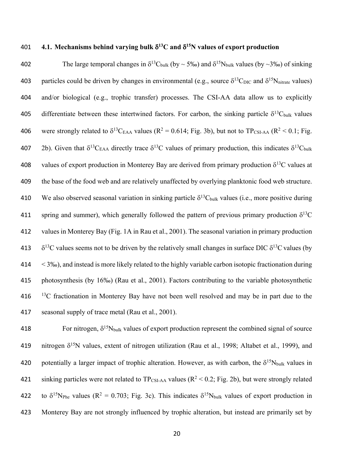# **401 4.1. Mechanisms behind varying bulk**  $\delta^{13}$ **C and**  $\delta^{15}$ **N values of export production**

402 The large temporal changes in  $\delta^{13}C_{bulk}$  (by  $\sim$  5‰) and  $\delta^{15}N_{bulk}$  values (by  $\sim$  3‰) of sinking 403 particles could be driven by changes in environmental (e.g., source  $\delta^{13}C_{\text{DIC}}$  and  $\delta^{15}N_{\text{nitrate}}$  values) 404 and/or biological (e.g., trophic transfer) processes. The CSI-AA data allow us to explicitly 405 differentiate between these intertwined factors. For carbon, the sinking particle  $\delta^{13}C_{bulk}$  values 406 were strongly related to  $\delta^{13}C_{EAA}$  values (R<sup>2</sup> = 0.614; Fig. 3b), but not to TP<sub>CSI-AA</sub> (R<sup>2</sup> < 0.1; Fig. 407 2b). Given that  $\delta^{13}C_{EAA}$  directly trace  $\delta^{13}C$  values of primary production, this indicates  $\delta^{13}C_{bulk}$ 408 values of export production in Monterey Bay are derived from primary production  $\delta^{13}C$  values at 409 the base of the food web and are relatively unaffected by overlying planktonic food web structure. 410 We also observed seasonal variation in sinking particle  $\delta^{13}C_{bulk}$  values (i.e., more positive during 411 spring and summer), which generally followed the pattern of previous primary production  $\delta^{13}C$ 412 values in Monterey Bay (Fig. 1A in Rau et al., 2001). The seasonal variation in primary production 413  $\delta^{13}$ C values seems not to be driven by the relatively small changes in surface DIC  $\delta^{13}$ C values (by 414 < 3‰), and instead is more likely related to the highly variable carbon isotopic fractionation during 415 photosynthesis (by 16‰) (Rau et al., 2001). Factors contributing to the variable photosynthetic  $13<sup>C</sup>$  fractionation in Monterey Bay have not been well resolved and may be in part due to the 417 seasonal supply of trace metal (Rau et al., 2001).

418 For nitrogen,  $\delta^{15}N_{bulk}$  values of export production represent the combined signal of source 419 nitrogen  $\delta^{15}N$  values, extent of nitrogen utilization (Rau et al., 1998; Altabet et al., 1999), and 420 potentially a larger impact of trophic alteration. However, as with carbon, the  $\delta^{15}N_{bulk}$  values in 421 sinking particles were not related to  $TP_{CSI-AA}$  values ( $R^2 < 0.2$ ; Fig. 2b), but were strongly related 422 to  $\delta^{15}N_{\text{Phe}}$  values (R<sup>2</sup> = 0.703; Fig. 3c). This indicates  $\delta^{15}N_{\text{bulk}}$  values of export production in 423 Monterey Bay are not strongly influenced by trophic alteration, but instead are primarily set by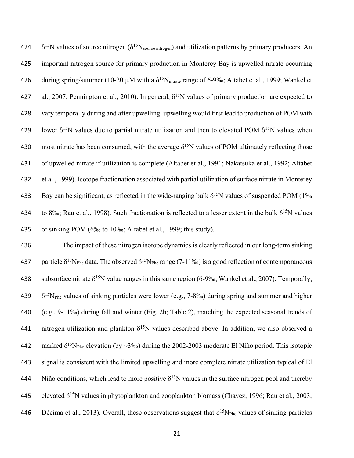424  $\delta^{15}N$  values of source nitrogen ( $\delta^{15}N_{source\ nitrogen}$ ) and utilization patterns by primary producers. An 425 important nitrogen source for primary production in Monterey Bay is upwelled nitrate occurring 426 during spring/summer (10-20  $\mu$ M with a  $\delta^{15}N_{\text{nitrate}}$  range of 6-9‰; Altabet et al., 1999; Wankel et 427 al., 2007; Pennington et al., 2010). In general,  $\delta^{15}N$  values of primary production are expected to 428 vary temporally during and after upwelling: upwelling would first lead to production of POM with 429 lower  $\delta^{15}N$  values due to partial nitrate utilization and then to elevated POM  $\delta^{15}N$  values when 430 most nitrate has been consumed, with the average  $\delta^{15}N$  values of POM ultimately reflecting those 431 of upwelled nitrate if utilization is complete (Altabet et al., 1991; Nakatsuka et al., 1992; Altabet 432 et al., 1999). Isotope fractionation associated with partial utilization of surface nitrate in Monterey 833 Bay can be significant, as reflected in the wide-ranging bulk  $\delta^{15}N$  values of suspended POM (1‰ 434 to 8‰; Rau et al., 1998). Such fractionation is reflected to a lesser extent in the bulk  $\delta^{15}N$  values 435 of sinking POM (6‰ to 10‰; Altabet et al., 1999; this study).

436 The impact of these nitrogen isotope dynamics is clearly reflected in our long-term sinking 437 particle  $\delta^{15}N_{\text{Phe}}$  data. The observed  $\delta^{15}N_{\text{Phe}}$  range (7-11‰) is a good reflection of contemporaneous 438 subsurface nitrate  $\delta^{15}N$  value ranges in this same region (6-9‰; Wankel et al., 2007). Temporally, 439  $\delta^{15}N_{\text{Phe}}$  values of sinking particles were lower (e.g., 7-8‰) during spring and summer and higher 440 (e.g., 9-11‰) during fall and winter (Fig. 2b; Table 2), matching the expected seasonal trends of 441 nitrogen utilization and plankton  $\delta^{15}N$  values described above. In addition, we also observed a 442 marked  $\delta^{15}N_{\text{Phe}}$  elevation (by ~3‰) during the 2002-2003 moderate El Niño period. This isotopic 443 signal is consistent with the limited upwelling and more complete nitrate utilization typical of El 444 Niño conditions, which lead to more positive  $\delta^{15}N$  values in the surface nitrogen pool and thereby 445 elevated  $\delta^{15}N$  values in phytoplankton and zooplankton biomass (Chavez, 1996; Rau et al., 2003; 446 Décima et al., 2013). Overall, these observations suggest that  $\delta^{15}N_{\text{Phe}}$  values of sinking particles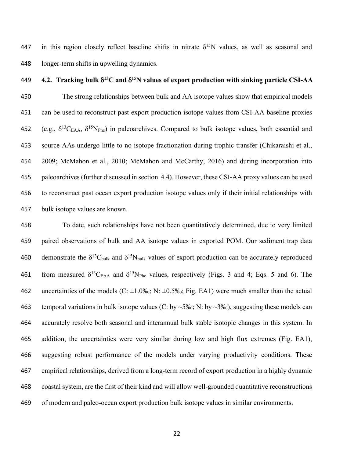447 in this region closely reflect baseline shifts in nitrate  $\delta^{15}N$  values, as well as seasonal and longer-term shifts in upwelling dynamics.

## **4.2. Tracking bulk**  $\delta^{13}C$  **and**  $\delta^{15}N$  **values of export production with sinking particle CSI-AA**

 The strong relationships between bulk and AA isotope values show that empirical models can be used to reconstruct past export production isotope values from CSI-AA baseline proxies 452 (e.g.,  $\delta^{13}C_{EAA}$ ,  $\delta^{15}N_{Phe}$ ) in paleoarchives. Compared to bulk isotope values, both essential and source AAs undergo little to no isotope fractionation during trophic transfer (Chikaraishi et al., 2009; McMahon et al., 2010; McMahon and McCarthy, 2016) and during incorporation into paleoarchives (further discussed in section 4.4). However, these CSI-AA proxy values can be used to reconstruct past ocean export production isotope values only if their initial relationships with bulk isotope values are known.

 To date, such relationships have not been quantitatively determined, due to very limited paired observations of bulk and AA isotope values in exported POM. Our sediment trap data 460 demonstrate the  $\delta^{13}C_{bulk}$  and  $\delta^{15}N_{bulk}$  values of export production can be accurately reproduced 461 from measured  $\delta^{13}C_{EAA}$  and  $\delta^{15}N_{Phe}$  values, respectively (Figs. 3 and 4; Eqs. 5 and 6). The 462 uncertainties of the models (C:  $\pm 1.0\%$ ); N:  $\pm 0.5\%$ ; Fig. EA1) were much smaller than the actual 463 temporal variations in bulk isotope values (C: by ~5‰; N: by ~3‰), suggesting these models can accurately resolve both seasonal and interannual bulk stable isotopic changes in this system. In addition, the uncertainties were very similar during low and high flux extremes (Fig. EA1), suggesting robust performance of the models under varying productivity conditions. These empirical relationships, derived from a long-term record of export production in a highly dynamic coastal system, are the first of their kind and will allow well-grounded quantitative reconstructions of modern and paleo-ocean export production bulk isotope values in similar environments.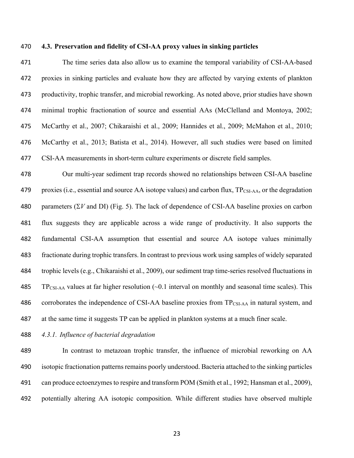#### **4.3. Preservation and fidelity of CSI-AA proxy values in sinking particles**

 The time series data also allow us to examine the temporal variability of CSI-AA-based proxies in sinking particles and evaluate how they are affected by varying extents of plankton productivity, trophic transfer, and microbial reworking. As noted above, prior studies have shown minimal trophic fractionation of source and essential AAs (McClelland and Montoya, 2002; McCarthy et al., 2007; Chikaraishi et al., 2009; Hannides et al., 2009; McMahon et al., 2010; McCarthy et al., 2013; Batista et al., 2014). However, all such studies were based on limited CSI-AA measurements in short-term culture experiments or discrete field samples.

 Our multi-year sediment trap records showed no relationships between CSI-AA baseline 479 proxies (i.e., essential and source AA isotope values) and carbon flux, TP<sub>CSI-AA</sub>, or the degradation 480 parameters  $(\Sigma V \text{ and DI})$  (Fig. 5). The lack of dependence of CSI-AA baseline proxies on carbon flux suggests they are applicable across a wide range of productivity. It also supports the fundamental CSI-AA assumption that essential and source AA isotope values minimally fractionate during trophic transfers. In contrast to previous work using samples of widely separated trophic levels (e.g., Chikaraishi et al., 2009), our sediment trap time-series resolved fluctuations in 485 TP<sub>CSI-AA</sub> values at far higher resolution  $(\sim 0.1$  interval on monthly and seasonal time scales). This 486 corroborates the independence of CSI-AA baseline proxies from TP<sub>CSI-AA</sub> in natural system, and at the same time it suggests TP can be applied in plankton systems at a much finer scale.

#### *4.3.1. Influence of bacterial degradation*

 In contrast to metazoan trophic transfer, the influence of microbial reworking on AA 490 isotopic fractionation patterns remains poorly understood. Bacteria attached to the sinking particles can produce ectoenzymes to respire and transform POM (Smith et al., 1992; Hansman et al., 2009), potentially altering AA isotopic composition. While different studies have observed multiple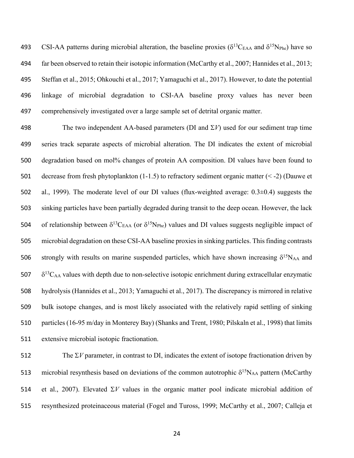493 CSI-AA patterns during microbial alteration, the baseline proxies ( $\delta^{13}C_{EAA}$  and  $\delta^{15}N_{Phe}$ ) have so far been observed to retain their isotopic information (McCarthy et al., 2007; Hannides et al., 2013; Steffan et al., 2015; Ohkouchi et al., 2017; Yamaguchi et al., 2017). However, to date the potential linkage of microbial degradation to CSI-AA baseline proxy values has never been comprehensively investigated over a large sample set of detrital organic matter.

498 The two independent AA-based parameters (DI and  $\Sigma V$ ) used for our sediment trap time series track separate aspects of microbial alteration. The DI indicates the extent of microbial degradation based on mol% changes of protein AA composition. DI values have been found to decrease from fresh phytoplankton (1-1.5) to refractory sediment organic matter (< -2) (Dauwe et al., 1999). The moderate level of our DI values (flux-weighted average: 0.3±0.4) suggests the sinking particles have been partially degraded during transit to the deep ocean. However, the lack 504 of relationship between  $\delta^{13}C_{EAA}$  (or  $\delta^{15}N_{Phe}$ ) values and DI values suggests negligible impact of microbial degradation on these CSI-AA baseline proxiesin sinking particles. This finding contrasts 506 strongly with results on marine suspended particles, which have shown increasing  $\delta^{15}N_{AA}$  and  $\delta^{13}$  C<sub>AA</sub> values with depth due to non-selective isotopic enrichment during extracellular enzymatic hydrolysis (Hannides et al., 2013; Yamaguchi et al., 2017). The discrepancy is mirrored in relative bulk isotope changes, and is most likely associated with the relatively rapid settling of sinking particles (16-95 m/day in Monterey Bay) (Shanks and Trent, 1980; Pilskaln et al., 1998) that limits extensive microbial isotopic fractionation.

512 The  $\Sigma V$  parameter, in contrast to DI, indicates the extent of isotope fractionation driven by 513 microbial resynthesis based on deviations of the common autotrophic  $\delta^{15}N_{AA}$  pattern (McCarthy 514 et al., 2007). Elevated  $\Sigma V$  values in the organic matter pool indicate microbial addition of resynthesized proteinaceous material (Fogel and Tuross, 1999; McCarthy et al., 2007; Calleja et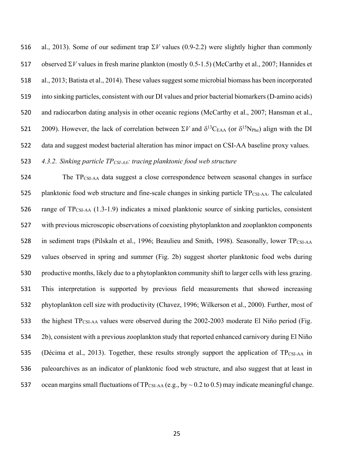516 al., 2013). Some of our sediment trap  $\Sigma V$  values (0.9-2.2) were slightly higher than commonly 517 observed  $\Sigma V$  values in fresh marine plankton (mostly 0.5-1.5) (McCarthy et al., 2007; Hannides et al., 2013; Batista et al., 2014). These values suggest some microbial biomass has been incorporated into sinking particles, consistent with our DI values and prior bacterial biomarkers (D-amino acids) and radiocarbon dating analysis in other oceanic regions (McCarthy et al., 2007; Hansman et al., 521 2009). However, the lack of correlation between  $\Sigma V$  and  $\delta^{13}C_{EAA}$  (or  $\delta^{15}N_{Phe}$ ) align with the DI data and suggest modest bacterial alteration has minor impact on CSI-AA baseline proxy values.

## *4.3.2. Sinking particle TPCSI-AA: tracing planktonic food web structure*

 The TPCSI-AA data suggest a close correspondence between seasonal changes in surface 525 planktonic food web structure and fine-scale changes in sinking particle  $TP_{CSI-AA}$ . The calculated range of TPCSI-AA (1.3-1.9) indicates a mixed planktonic source of sinking particles, consistent with previous microscopic observations of coexisting phytoplankton and zooplankton components 528 in sediment traps (Pilskaln et al., 1996; Beaulieu and Smith, 1998). Seasonally, lower TP<sub>CSI-AA</sub> values observed in spring and summer (Fig. 2b) suggest shorter planktonic food webs during productive months, likely due to a phytoplankton community shift to larger cells with less grazing. This interpretation is supported by previous field measurements that showed increasing phytoplankton cell size with productivity (Chavez, 1996; Wilkerson et al., 2000). Further, most of 533 the highest TP<sub>CSI-AA</sub> values were observed during the 2002-2003 moderate El Niño period (Fig. 2b), consistent with a previous zooplankton study that reported enhanced carnivory during El Niño 535 (Décima et al., 2013). Together, these results strongly support the application of TPCSI-AA in paleoarchives as an indicator of planktonic food web structure, and also suggest that at least in 537 ocean margins small fluctuations of  $TP_{CSI-AA}$  (e.g., by  $\sim$  0.2 to 0.5) may indicate meaningful change.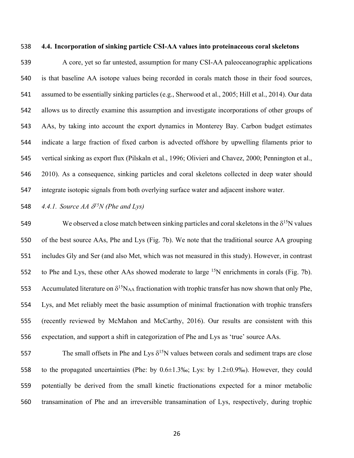#### **4.4. Incorporation of sinking particle CSI-AA values into proteinaceous coral skeletons**

 A core, yet so far untested, assumption for many CSI-AA paleoceanographic applications is that baseline AA isotope values being recorded in corals match those in their food sources, assumed to be essentially sinking particles (e.g., Sherwood et al., 2005; Hill et al., 2014). Our data allows us to directly examine this assumption and investigate incorporations of other groups of AAs, by taking into account the export dynamics in Monterey Bay. Carbon budget estimates indicate a large fraction of fixed carbon is advected offshore by upwelling filaments prior to vertical sinking as export flux (Pilskaln et al., 1996; Olivieri and Chavez, 2000; Pennington et al., 2010). As a consequence, sinking particles and coral skeletons collected in deep water should integrate isotopic signals from both overlying surface water and adjacent inshore water.

## **548** *4.4.1. Source AA*  $\delta^{15}N$  *(Phe and Lys)*

549 We observed a close match between sinking particles and coral skeletons in the  $\delta^{15}N$  values of the best source AAs, Phe and Lys (Fig. 7b). We note that the traditional source AA grouping includes Gly and Ser (and also Met, which was not measured in this study). However, in contrast to Phe and Lys, these other AAs showed moderate to large <sup>15</sup>N enrichments in corals (Fig. 7b). 553 Accumulated literature on  $\delta^{15}N_{AA}$  fractionation with trophic transfer has now shown that only Phe, Lys, and Met reliably meet the basic assumption of minimal fractionation with trophic transfers (recently reviewed by McMahon and McCarthy, 2016). Our results are consistent with this expectation, and support a shift in categorization of Phe and Lys as 'true' source AAs.

The small offsets in Phe and Lys  $\delta^{15}N$  values between corals and sediment traps are close to the propagated uncertainties (Phe: by 0.6±1.3‰; Lys: by 1.2±0.9‰). However, they could potentially be derived from the small kinetic fractionations expected for a minor metabolic transamination of Phe and an irreversible transamination of Lys, respectively, during trophic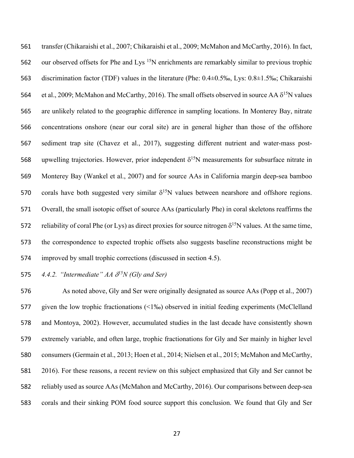transfer (Chikaraishi et al., 2007; Chikaraishi et al., 2009; McMahon and McCarthy, 2016). In fact, 562 our observed offsets for Phe and Lys  $15N$  enrichments are remarkably similar to previous trophic discrimination factor (TDF) values in the literature (Phe: 0.4±0.5‰, Lys: 0.8±1.5‰; Chikaraishi 564 et al., 2009; McMahon and McCarthy, 2016). The small offsets observed in source AA  $\delta^{15}N$  values are unlikely related to the geographic difference in sampling locations. In Monterey Bay, nitrate concentrations onshore (near our coral site) are in general higher than those of the offshore sediment trap site (Chavez et al., 2017), suggesting different nutrient and water-mass post-568 upwelling trajectories. However, prior independent  $\delta^{15}N$  measurements for subsurface nitrate in Monterey Bay (Wankel et al., 2007) and for source AAs in California margin deep-sea bamboo 570 corals have both suggested very similar  $\delta^{15}N$  values between nearshore and offshore regions. Overall, the small isotopic offset of source AAs (particularly Phe) in coral skeletons reaffirms the 572 reliability of coral Phe (or Lys) as direct proxies for source nitrogen  $\delta^{15}N$  values. At the same time, the correspondence to expected trophic offsets also suggests baseline reconstructions might be improved by small trophic corrections (discussed in section 4.5).

## 575  $4.4.2$ . "Intermediate" AA  $\delta^{15}N$  (Gly and Ser)

 As noted above, Gly and Ser were originally designated as source AAs (Popp et al., 2007) given the low trophic fractionations (<1‰) observed in initial feeding experiments (McClelland and Montoya, 2002). However, accumulated studies in the last decade have consistently shown extremely variable, and often large, trophic fractionations for Gly and Ser mainly in higher level consumers (Germain et al., 2013; Hoen et al., 2014; Nielsen et al., 2015; McMahon and McCarthy, 2016). For these reasons, a recent review on this subject emphasized that Gly and Ser cannot be reliably used as source AAs (McMahon and McCarthy, 2016). Our comparisons between deep-sea corals and their sinking POM food source support this conclusion. We found that Gly and Ser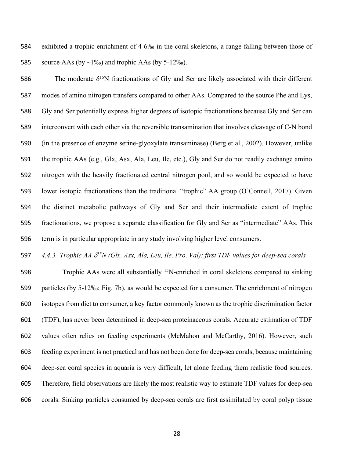exhibited a trophic enrichment of 4-6‰ in the coral skeletons, a range falling between those of 585 source AAs (by  $\sim$ 1‰) and trophic AAs (by 5-12‰).

586 15N fractionations of Gly and Ser are likely associated with their different modes of amino nitrogen transfers compared to other AAs. Compared to the source Phe and Lys, Gly and Ser potentially express higher degrees of isotopic fractionations because Gly and Ser can interconvert with each other via the reversible transamination that involves cleavage of C-N bond (in the presence of enzyme serine-glyoxylate transaminase) (Berg et al., 2002). However, unlike the trophic AAs (e.g., Glx, Asx, Ala, Leu, Ile, etc.), Gly and Ser do not readily exchange amino nitrogen with the heavily fractionated central nitrogen pool, and so would be expected to have lower isotopic fractionations than the traditional "trophic" AA group (O'Connell, 2017). Given the distinct metabolic pathways of Gly and Ser and their intermediate extent of trophic fractionations, we propose a separate classification for Gly and Ser as "intermediate" AAs. This term is in particular appropriate in any study involving higher level consumers.

*4.4.3. Trophic AA* <sup>d</sup>*<sup>15</sup> N (Glx, Asx, Ala, Leu, Ile, Pro, Val): first TDF values for deep-sea corals*

 Trophic AAs were all substantially <sup>15</sup>N-enriched in coral skeletons compared to sinking particles (by 5-12‰; Fig. 7b), as would be expected for a consumer. The enrichment of nitrogen isotopes from diet to consumer, a key factor commonly known as the trophic discrimination factor (TDF), has never been determined in deep-sea proteinaceous corals. Accurate estimation of TDF values often relies on feeding experiments (McMahon and McCarthy, 2016). However, such feeding experiment is not practical and has not been done for deep-sea corals, because maintaining deep-sea coral species in aquaria is very difficult, let alone feeding them realistic food sources. Therefore, field observations are likely the most realistic way to estimate TDF values for deep-sea corals. Sinking particles consumed by deep-sea corals are first assimilated by coral polyp tissue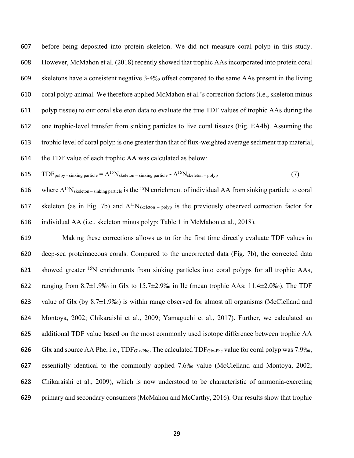before being deposited into protein skeleton. We did not measure coral polyp in this study. However, McMahon et al. (2018) recently showed that trophic AAs incorporated into protein coral skeletons have a consistent negative 3-4‰ offset compared to the same AAs present in the living coral polyp animal. We therefore applied McMahon et al.'s correction factors (i.e., skeleton minus polyp tissue) to our coral skeleton data to evaluate the true TDF values of trophic AAs during the one trophic-level transfer from sinking particles to live coral tissues (Fig. EA4b). Assuming the trophic level of coral polyp is one greater than that of flux-weighted average sediment trap material, the TDF value of each trophic AA was calculated as below:

615 
$$
TDF_{\text{poly - sinking particle}} = \Delta^{15} N_{\text{skeleton - sinking particle}} - \Delta^{15} N_{\text{skeleton - polyp}}
$$
 (7)

616 where  $\Delta^{15}N_{\text{skeleton -- sinking particle}}$  is the <sup>15</sup>N enrichment of individual AA from sinking particle to coral 617 skeleton (as in Fig. 7b) and  $\Delta^{15}N_{\text{skeleton - polyp}}$  is the previously observed correction factor for individual AA (i.e., skeleton minus polyp; Table 1 in McMahon et al., 2018).

 Making these corrections allows us to for the first time directly evaluate TDF values in deep-sea proteinaceous corals. Compared to the uncorrected data (Fig. 7b), the corrected data showed greater <sup>15</sup>N enrichments from sinking particles into coral polyps for all trophic AAs, ranging from 8.7±1.9‰ in Glx to 15.7±2.9‰ in Ile (mean trophic AAs: 11.4±2.0‰). The TDF 623 value of Glx (by  $8.7\pm1.9\%$ ) is within range observed for almost all organisms (McClelland and Montoya, 2002; Chikaraishi et al., 2009; Yamaguchi et al., 2017). Further, we calculated an additional TDF value based on the most commonly used isotope difference between trophic AA Glx and source AA Phe, i.e., TDFGlx-Phe. The calculated TDFGlx-Phe value for coral polyp was 7.9‰, essentially identical to the commonly applied 7.6‰ value (McClelland and Montoya, 2002; Chikaraishi et al., 2009), which is now understood to be characteristic of ammonia-excreting primary and secondary consumers (McMahon and McCarthy, 2016). Our results show that trophic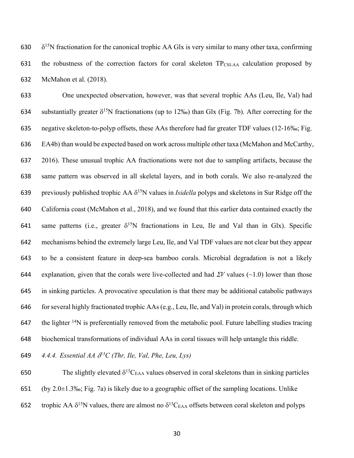630  $\delta^{15}$ N fractionation for the canonical trophic AA Glx is very similar to many other taxa, confirming 631 the robustness of the correction factors for coral skeleton TP<sub>CSI-AA</sub> calculation proposed by 632 McMahon et al. (2018).

 One unexpected observation, however, was that several trophic AAs (Leu, Ile, Val) had 634 substantially greater  $\delta^{15}N$  fractionations (up to 12‰) than Glx (Fig. 7b). After correcting for the negative skeleton-to-polyp offsets, these AAs therefore had far greater TDF values (12-16‰; Fig. EA4b) than would be expected based on work across multiple other taxa (McMahon and McCarthy, 2016). These unusual trophic AA fractionations were not due to sampling artifacts, because the same pattern was observed in all skeletal layers, and in both corals. We also re-analyzed the 639 previously published trophic AA  $\delta^{15}N$  values in *Isidella* polyps and skeletons in Sur Ridge off the California coast (McMahon et al., 2018), and we found that this earlier data contained exactly the 641 same patterns (i.e., greater  $\delta^{15}N$  fractionations in Leu, Ile and Val than in Glx). Specific mechanisms behind the extremely large Leu, Ile, and Val TDF values are not clear but they appear to be a consistent feature in deep-sea bamboo corals. Microbial degradation is not a likely 644 explanation, given that the corals were live-collected and had  $\mathcal{Z}V$  values ( $\sim$ 1.0) lower than those in sinking particles. A provocative speculation is that there may be additional catabolic pathways for several highly fractionated trophic AAs (e.g., Leu, Ile, and Val) in protein corals, through which 647 the lighter  $14N$  is preferentially removed from the metabolic pool. Future labelling studies tracing biochemical transformations of individual AAs in coral tissues will help untangle this riddle.

*4.4.4. Essential AA* d*<sup>13</sup>* 649 *C (Thr, Ile, Val, Phe, Leu, Lys)*

650 The slightly elevated  $\delta^{13}C_{EAA}$  values observed in coral skeletons than in sinking particles 651 (by 2.0 $\pm$ 1.3‰; Fig. 7a) is likely due to a geographic offset of the sampling locations. Unlike 652 trophic AA  $\delta^{15}N$  values, there are almost no  $\delta^{13}C_{EAA}$  offsets between coral skeleton and polyps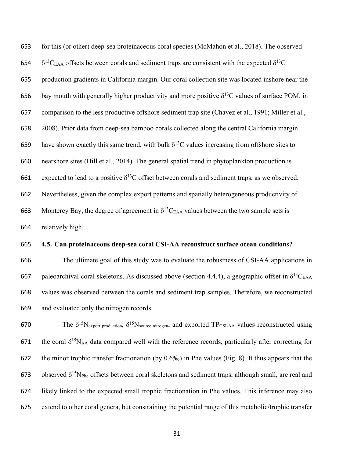for this (or other) deep-sea proteinaceous coral species (McMahon et al., 2018). The observed  $\delta^{13}$ C<sub>EAA</sub> offsets between corals and sediment traps are consistent with the expected  $\delta^{13}$ C production gradients in California margin. Our coral collection site was located inshore near the 656 bay mouth with generally higher productivity and more positive  $\delta^{13}$ C values of surface POM, in comparison to the less productive offshore sediment trap site (Chavez et al., 1991; Miller et al., 2008). Prior data from deep-sea bamboo corals collected along the central California margin 659 have shown exactly this same trend, with bulk  $\delta^{13}$ C values increasing from offshore sites to nearshore sites (Hill et al., 2014). The general spatial trend in phytoplankton production is 661 expected to lead to a positive  $\delta^{13}$ C offset between corals and sediment traps, as we observed. Nevertheless, given the complex export patterns and spatially heterogeneous productivity of 663 Monterey Bay, the degree of agreement in  $\delta^{13}C_{EAA}$  values between the two sample sets is relatively high.

#### **4.5. Can proteinaceous deep-sea coral CSI-AA reconstruct surface ocean conditions?**

 The ultimate goal of this study was to evaluate the robustness of CSI-AA applications in 667 paleoarchival coral skeletons. As discussed above (section 4.4.4), a geographic offset in  $\delta^{13}C_{EAA}$  values was observed between the corals and sediment trap samples. Therefore, we reconstructed and evaluated only the nitrogen records.

670 The  $\delta^{15}N_{\text{export production}}$ ,  $\delta^{15}N_{\text{source nitrogen}}$ , and exported TP<sub>CSI-AA</sub> values reconstructed using 671 the coral  $\delta^{15}N_{AA}$  data compared well with the reference records, particularly after correcting for the minor trophic transfer fractionation (by 0.6‰) in Phe values (Fig. 8). It thus appears that the 673 observed  $\delta^{15}N_{\text{Phe}}$  offsets between coral skeletons and sediment traps, although small, are real and likely linked to the expected small trophic fractionation in Phe values. This inference may also extend to other coral genera, but constraining the potential range of this metabolic/trophic transfer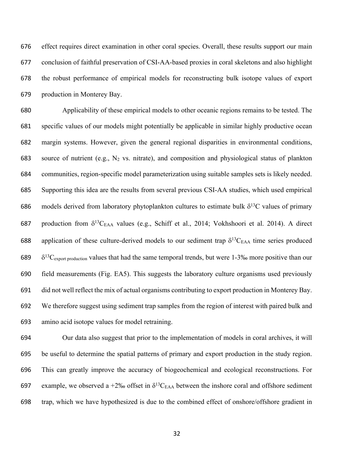effect requires direct examination in other coral species. Overall, these results support our main conclusion of faithful preservation of CSI-AA-based proxies in coral skeletons and also highlight the robust performance of empirical models for reconstructing bulk isotope values of export production in Monterey Bay.

 Applicability of these empirical models to other oceanic regions remains to be tested. The specific values of our models might potentially be applicable in similar highly productive ocean margin systems. However, given the general regional disparities in environmental conditions, 683 source of nutrient (e.g.,  $N_2$  vs. nitrate), and composition and physiological status of plankton communities, region-specific model parameterization using suitable samples sets is likely needed. Supporting this idea are the results from several previous CSI-AA studies, which used empirical 686 models derived from laboratory phytoplankton cultures to estimate bulk  $\delta^{13}$ C values of primary 687 production from  $\delta^{13}C_{EAA}$  values (e.g., Schiff et al., 2014; Vokhshoori et al. 2014). A direct 688 application of these culture-derived models to our sediment trap  $\delta^{13}$ C<sub>EAA</sub> time series produced  $\delta^{13}$ C<sub>export production</sub> values that had the same temporal trends, but were 1-3‰ more positive than our field measurements (Fig. EA5). This suggests the laboratory culture organisms used previously did not well reflect the mix of actual organisms contributing to export production in Monterey Bay. We therefore suggest using sediment trap samples from the region of interest with paired bulk and amino acid isotope values for model retraining.

 Our data also suggest that prior to the implementation of models in coral archives, it will be useful to determine the spatial patterns of primary and export production in the study region. This can greatly improve the accuracy of biogeochemical and ecological reconstructions. For 697 example, we observed a +2‰ offset in  $\delta^{13}C_{EAA}$  between the inshore coral and offshore sediment trap, which we have hypothesized is due to the combined effect of onshore/offshore gradient in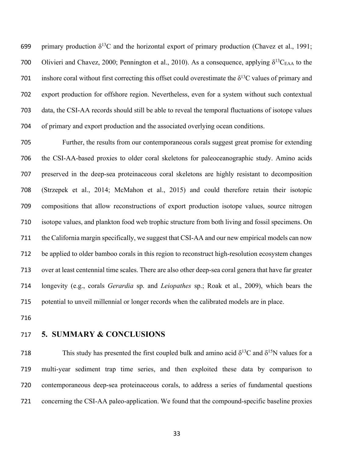699 primary production  $\delta^{13}$ C and the horizontal export of primary production (Chavez et al., 1991; 700 Olivieri and Chavez, 2000; Pennington et al., 2010). As a consequence, applying  $\delta^{13}C_{EAA}$  to the 701 inshore coral without first correcting this offset could overestimate the  $\delta^{13}$ C values of primary and export production for offshore region. Nevertheless, even for a system without such contextual data, the CSI-AA records should still be able to reveal the temporal fluctuations of isotope values of primary and export production and the associated overlying ocean conditions.

 Further, the results from our contemporaneous corals suggest great promise for extending the CSI-AA-based proxies to older coral skeletons for paleoceanographic study. Amino acids preserved in the deep-sea proteinaceous coral skeletons are highly resistant to decomposition (Strzepek et al., 2014; McMahon et al., 2015) and could therefore retain their isotopic compositions that allow reconstructions of export production isotope values, source nitrogen isotope values, and plankton food web trophic structure from both living and fossil specimens. On the California margin specifically, we suggest that CSI-AA and our new empirical models can now be applied to older bamboo corals in this region to reconstruct high-resolution ecosystem changes over at least centennial time scales. There are also other deep-sea coral genera that have far greater longevity (e.g., corals *Gerardia* sp. and *Leiopathes* sp.; Roak et al., 2009), which bears the potential to unveil millennial or longer records when the calibrated models are in place.

## **5. SUMMARY & CONCLUSIONS**

This study has presented the first coupled bulk and amino acid  $\delta^{13}C$  and  $\delta^{15}N$  values for a multi-year sediment trap time series, and then exploited these data by comparison to contemporaneous deep-sea proteinaceous corals, to address a series of fundamental questions concerning the CSI-AA paleo-application. We found that the compound-specific baseline proxies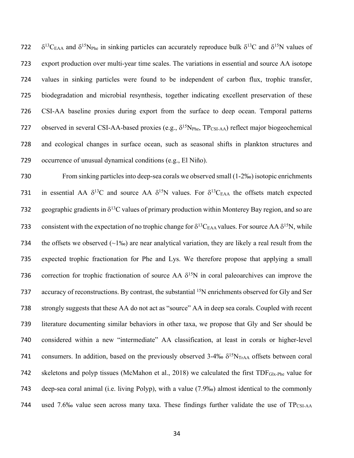$\delta^{13}C_{EAA}$  and  $\delta^{15}N_{Phe}$  in sinking particles can accurately reproduce bulk  $\delta^{13}C$  and  $\delta^{15}N$  values of export production over multi-year time scales. The variations in essential and source AA isotope values in sinking particles were found to be independent of carbon flux, trophic transfer, biodegradation and microbial resynthesis, together indicating excellent preservation of these CSI-AA baseline proxies during export from the surface to deep ocean. Temporal patterns 727 observed in several CSI-AA-based proxies (e.g.,  $\delta^{15}N_{\text{Phe}}$ , TP<sub>CSI-AA</sub>) reflect major biogeochemical and ecological changes in surface ocean, such as seasonal shifts in plankton structures and occurrence of unusual dynamical conditions (e.g., El Niño).

730 From sinking particles into deep-sea corals we observed small (1-2‰) isotopic enrichments 731 in essential AA  $\delta^{13}C$  and source AA  $\delta^{15}N$  values. For  $\delta^{13}C_{EAA}$  the offsets match expected 732 geographic gradients in  $\delta^{13}$ C values of primary production within Monterey Bay region, and so are 733 consistent with the expectation of no trophic change for  $\delta^{13}C_{EAA}$  values. For source AA  $\delta^{15}N$ , while 734 the offsets we observed  $(-1\%)$  are near analytical variation, they are likely a real result from the 735 expected trophic fractionation for Phe and Lys. We therefore propose that applying a small 736 correction for trophic fractionation of source AA  $\delta^{15}N$  in coral paleoarchives can improve the 737 accuracy of reconstructions. By contrast, the substantial <sup>15</sup>N enrichments observed for Gly and Ser 738 strongly suggests that these AA do not act as "source" AA in deep sea corals. Coupled with recent 739 literature documenting similar behaviors in other taxa, we propose that Gly and Ser should be 740 considered within a new "intermediate" AA classification, at least in corals or higher-level 741 consumers. In addition, based on the previously observed  $3-4\% \delta^{15}N_{TrAA}$  offsets between coral 742 skeletons and polyp tissues (McMahon et al., 2018) we calculated the first TDFGlx-Phe value for 743 deep-sea coral animal (i.e. living Polyp), with a value (7.9‰) almost identical to the commonly 744 used 7.6‰ value seen across many taxa. These findings further validate the use of  $TP_{CSI-AA}$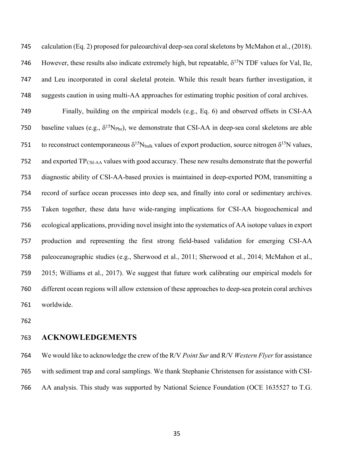calculation (Eq. 2) proposed for paleoarchival deep-sea coral skeletons by McMahon et al., (2018). 746 However, these results also indicate extremely high, but repeatable,  $\delta^{15}$ N TDF values for Val, Ile, and Leu incorporated in coral skeletal protein. While this result bears further investigation, it suggests caution in using multi-AA approaches for estimating trophic position of coral archives.

 Finally, building on the empirical models (e.g., Eq. 6) and observed offsets in CSI-AA 750 baseline values (e.g.,  $\delta^{15}N_{\text{Phe}}$ ), we demonstrate that CSI-AA in deep-sea coral skeletons are able 751 to reconstruct contemporaneous  $\delta^{15}N_{bulk}$  values of export production, source nitrogen  $\delta^{15}N$  values, and exported TPCSI-AA values with good accuracy. These new results demonstrate that the powerful diagnostic ability of CSI-AA-based proxies is maintained in deep-exported POM, transmitting a record of surface ocean processes into deep sea, and finally into coral or sedimentary archives. Taken together, these data have wide-ranging implications for CSI-AA biogeochemical and ecological applications, providing novel insight into the systematics of AA isotope values in export production and representing the first strong field-based validation for emerging CSI-AA paleoceanographic studies (e.g., Sherwood et al., 2011; Sherwood et al., 2014; McMahon et al., 2015; Williams et al., 2017). We suggest that future work calibrating our empirical models for different ocean regions will allow extension of these approaches to deep-sea protein coral archives worldwide.

## **ACKNOWLEDGEMENTS**

 We would like to acknowledge the crew of the R/V *Point Sur* and R/V *Western Flyer* for assistance with sediment trap and coral samplings. We thank Stephanie Christensen for assistance with CSI-AA analysis. This study was supported by National Science Foundation (OCE 1635527 to T.G.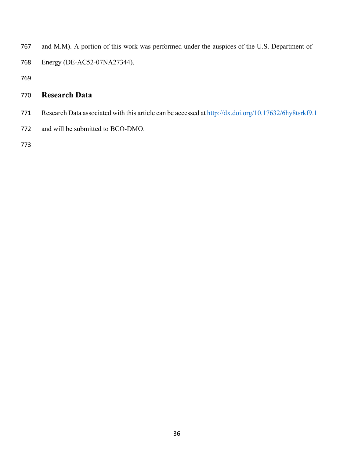- and M.M). A portion of this work was performed under the auspices of the U.S. Department of Energy (DE-AC52-07NA27344).
- 

# **Research Data**

- 771 Research Data associated with this article can be accessed at http://dx.doi.org/10.17632/6hy8tsrkf9.1
- and will be submitted to BCO-DMO.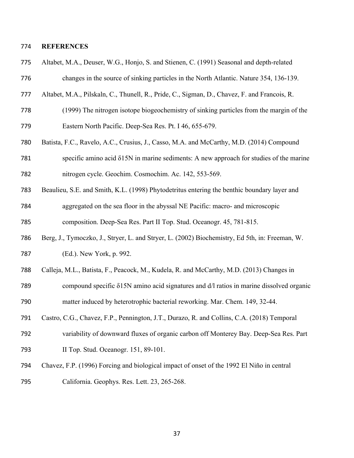#### **REFERENCES**

- Altabet, M.A., Deuser, W.G., Honjo, S. and Stienen, C. (1991) Seasonal and depth-related
- changes in the source of sinking particles in the North Atlantic. Nature 354, 136-139.
- Altabet, M.A., Pilskaln, C., Thunell, R., Pride, C., Sigman, D., Chavez, F. and Francois, R.
- (1999) The nitrogen isotope biogeochemistry of sinking particles from the margin of the Eastern North Pacific. Deep-Sea Res. Pt. I 46, 655-679.
- Batista, F.C., Ravelo, A.C., Crusius, J., Casso, M.A. and McCarthy, M.D. (2014) Compound
- specific amino acid δ15N in marine sediments: A new approach for studies of the marine nitrogen cycle. Geochim. Cosmochim. Ac. 142, 553-569.
- Beaulieu, S.E. and Smith, K.L. (1998) Phytodetritus entering the benthic boundary layer and aggregated on the sea floor in the abyssal NE Pacific: macro- and microscopic composition. Deep-Sea Res. Part II Top. Stud. Oceanogr. 45, 781-815.
- Berg, J., Tymoczko, J., Stryer, L. and Stryer, L. (2002) Biochemistry, Ed 5th, in: Freeman, W. (Ed.). New York, p. 992.
- Calleja, M.L., Batista, F., Peacock, M., Kudela, R. and McCarthy, M.D. (2013) Changes in
- compound specific δ15N amino acid signatures and d/l ratios in marine dissolved organic matter induced by heterotrophic bacterial reworking. Mar. Chem. 149, 32-44.
- Castro, C.G., Chavez, F.P., Pennington, J.T., Durazo, R. and Collins, C.A. (2018) Temporal
- variability of downward fluxes of organic carbon off Monterey Bay. Deep-Sea Res. Part II Top. Stud. Oceanogr. 151, 89-101.
- Chavez, F.P. (1996) Forcing and biological impact of onset of the 1992 El Niño in central California. Geophys. Res. Lett. 23, 265-268.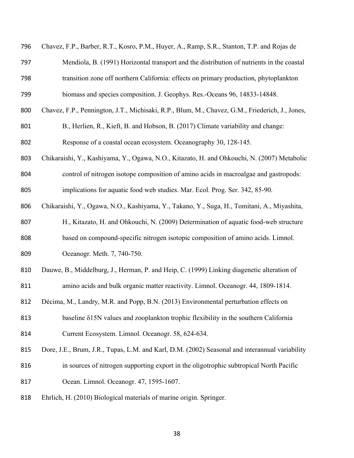| 796 | Chavez, F.P., Barber, R.T., Kosro, P.M., Huyer, A., Ramp, S.R., Stanton, T.P. and Rojas de      |
|-----|-------------------------------------------------------------------------------------------------|
| 797 | Mendiola, B. (1991) Horizontal transport and the distribution of nutrients in the coastal       |
| 798 | transition zone off northern California: effects on primary production, phytoplankton           |
| 799 | biomass and species composition. J. Geophys. Res.-Oceans 96, 14833-14848.                       |
| 800 | Chavez, F.P., Pennington, J.T., Michisaki, R.P., Blum, M., Chavez, G.M., Friederich, J., Jones, |
| 801 | B., Herlien, R., Kieft, B. and Hobson, B. (2017) Climate variability and change:                |
| 802 | Response of a coastal ocean ecosystem. Oceanography 30, 128-145.                                |
| 803 | Chikaraishi, Y., Kashiyama, Y., Ogawa, N.O., Kitazato, H. and Ohkouchi, N. (2007) Metabolic     |
| 804 | control of nitrogen isotope composition of amino acids in macroalgae and gastropods:            |
| 805 | implications for aquatic food web studies. Mar. Ecol. Prog. Ser. 342, 85-90.                    |
| 806 | Chikaraishi, Y., Ogawa, N.O., Kashiyama, Y., Takano, Y., Suga, H., Tomitani, A., Miyashita,     |
| 807 | H., Kitazato, H. and Ohkouchi, N. (2009) Determination of aquatic food-web structure            |
| 808 | based on compound-specific nitrogen isotopic composition of amino acids. Limnol.                |
| 809 | Oceanogr. Meth. 7, 740-750.                                                                     |
| 810 | Dauwe, B., Middelburg, J., Herman, P. and Heip, C. (1999) Linking diagenetic alteration of      |
| 811 | amino acids and bulk organic matter reactivity. Limnol. Oceanogr. 44, 1809-1814.                |
| 812 | Décima, M., Landry, M.R. and Popp, B.N. (2013) Environmental perturbation effects on            |
| 813 | baseline $\delta$ 15N values and zooplankton trophic flexibility in the southern California     |
| 814 | Current Ecosystem. Limnol. Oceanogr. 58, 624-634.                                               |
| 815 | Dore, J.E., Brum, J.R., Tupas, L.M. and Karl, D.M. (2002) Seasonal and interannual variability  |
| 816 | in sources of nitrogen supporting export in the oligotrophic subtropical North Pacific          |
| 817 | Ocean. Limnol. Oceanogr. 47, 1595-1607.                                                         |
| 818 | Ehrlich, H. (2010) Biological materials of marine origin. Springer.                             |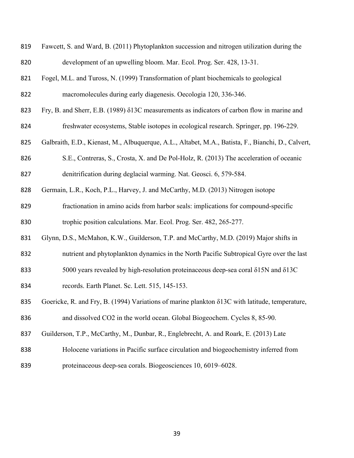| 819 | Fawcett, S. and Ward, B. (2011) Phytoplankton succession and nitrogen utilization during the           |
|-----|--------------------------------------------------------------------------------------------------------|
| 820 | development of an upwelling bloom. Mar. Ecol. Prog. Ser. 428, 13-31.                                   |
| 821 | Fogel, M.L. and Tuross, N. (1999) Transformation of plant biochemicals to geological                   |
| 822 | macromolecules during early diagenesis. Oecologia 120, 336-346.                                        |
| 823 | Fry, B. and Sherr, E.B. (1989) δ13C measurements as indicators of carbon flow in marine and            |
| 824 | freshwater ecosystems, Stable isotopes in ecological research. Springer, pp. 196-229.                  |
| 825 | Galbraith, E.D., Kienast, M., Albuquerque, A.L., Altabet, M.A., Batista, F., Bianchi, D., Calvert,     |
| 826 | S.E., Contreras, S., Crosta, X. and De Pol-Holz, R. (2013) The acceleration of oceanic                 |
| 827 | denitrification during deglacial warming. Nat. Geosci. 6, 579-584.                                     |
| 828 | Germain, L.R., Koch, P.L., Harvey, J. and McCarthy, M.D. (2013) Nitrogen isotope                       |
| 829 | fractionation in amino acids from harbor seals: implications for compound-specific                     |
| 830 | trophic position calculations. Mar. Ecol. Prog. Ser. 482, 265-277.                                     |
| 831 | Glynn, D.S., McMahon, K.W., Guilderson, T.P. and McCarthy, M.D. (2019) Major shifts in                 |
| 832 | nutrient and phytoplankton dynamics in the North Pacific Subtropical Gyre over the last                |
| 833 | 5000 years revealed by high-resolution proteinaceous deep-sea coral $\delta$ 15N and $\delta$ 13C      |
| 834 | records. Earth Planet. Sc. Lett. 515, 145-153.                                                         |
| 835 | Goericke, R. and Fry, B. (1994) Variations of marine plankton $\delta$ 13C with latitude, temperature, |
| 836 | and dissolved CO2 in the world ocean. Global Biogeochem. Cycles 8, 85-90.                              |
| 837 | Guilderson, T.P., McCarthy, M., Dunbar, R., Englebrecht, A. and Roark, E. (2013) Late                  |
| 838 | Holocene variations in Pacific surface circulation and biogeochemistry inferred from                   |
| 839 | proteinaceous deep-sea corals. Biogeosciences 10, 6019–6028.                                           |
|     |                                                                                                        |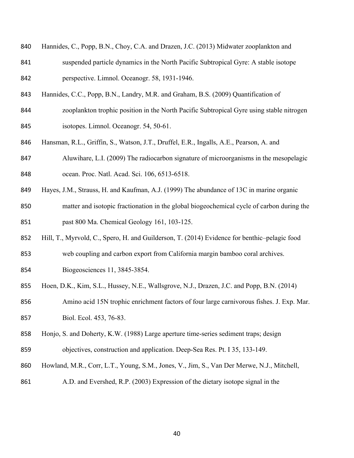- Hannides, C., Popp, B.N., Choy, C.A. and Drazen, J.C. (2013) Midwater zooplankton and
- suspended particle dynamics in the North Pacific Subtropical Gyre: A stable isotope perspective. Limnol. Oceanogr. 58, 1931-1946.
- Hannides, C.C., Popp, B.N., Landry, M.R. and Graham, B.S. (2009) Quantification of
- zooplankton trophic position in the North Pacific Subtropical Gyre using stable nitrogen isotopes. Limnol. Oceanogr. 54, 50-61.
- Hansman, R.L., Griffin, S., Watson, J.T., Druffel, E.R., Ingalls, A.E., Pearson, A. and
- Aluwihare, L.I. (2009) The radiocarbon signature of microorganisms in the mesopelagic ocean. Proc. Natl. Acad. Sci. 106, 6513-6518.
- Hayes, J.M., Strauss, H. and Kaufman, A.J. (1999) The abundance of 13C in marine organic
- matter and isotopic fractionation in the global biogeochemical cycle of carbon during the past 800 Ma. Chemical Geology 161, 103-125.
- Hill, T., Myrvold, C., Spero, H. and Guilderson, T. (2014) Evidence for benthic–pelagic food
- web coupling and carbon export from California margin bamboo coral archives. Biogeosciences 11, 3845-3854.
- Hoen, D.K., Kim, S.L., Hussey, N.E., Wallsgrove, N.J., Drazen, J.C. and Popp, B.N. (2014)

 Amino acid 15N trophic enrichment factors of four large carnivorous fishes. J. Exp. Mar. Biol. Ecol. 453, 76-83.

- Honjo, S. and Doherty, K.W. (1988) Large aperture time-series sediment traps; design objectives, construction and application. Deep-Sea Res. Pt. I 35, 133-149.
- Howland, M.R., Corr, L.T., Young, S.M., Jones, V., Jim, S., Van Der Merwe, N.J., Mitchell,
- A.D. and Evershed, R.P. (2003) Expression of the dietary isotope signal in the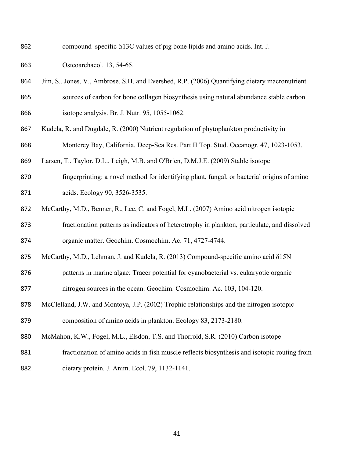compound-specific δ13C values of pig bone lipids and amino acids. Int. J.

Osteoarchaeol. 13, 54-65.

- Jim, S., Jones, V., Ambrose, S.H. and Evershed, R.P. (2006) Quantifying dietary macronutrient sources of carbon for bone collagen biosynthesis using natural abundance stable carbon isotope analysis. Br. J. Nutr. 95, 1055-1062.
- Kudela, R. and Dugdale, R. (2000) Nutrient regulation of phytoplankton productivity in Monterey Bay, California. Deep-Sea Res. Part II Top. Stud. Oceanogr. 47, 1023-1053.
- Larsen, T., Taylor, D.L., Leigh, M.B. and O'Brien, D.M.J.E. (2009) Stable isotope
- fingerprinting: a novel method for identifying plant, fungal, or bacterial origins of amino acids. Ecology 90, 3526-3535.
- McCarthy, M.D., Benner, R., Lee, C. and Fogel, M.L. (2007) Amino acid nitrogen isotopic

 fractionation patterns as indicators of heterotrophy in plankton, particulate, and dissolved organic matter. Geochim. Cosmochim. Ac. 71, 4727-4744.

- McCarthy, M.D., Lehman, J. and Kudela, R. (2013) Compound-specific amino acid δ15N
- patterns in marine algae: Tracer potential for cyanobacterial vs. eukaryotic organic nitrogen sources in the ocean. Geochim. Cosmochim. Ac. 103, 104-120.
- McClelland, J.W. and Montoya, J.P. (2002) Trophic relationships and the nitrogen isotopic composition of amino acids in plankton. Ecology 83, 2173-2180.
- McMahon, K.W., Fogel, M.L., Elsdon, T.S. and Thorrold, S.R. (2010) Carbon isotope
- fractionation of amino acids in fish muscle reflects biosynthesis and isotopic routing from
- dietary protein. J. Anim. Ecol. 79, 1132-1141.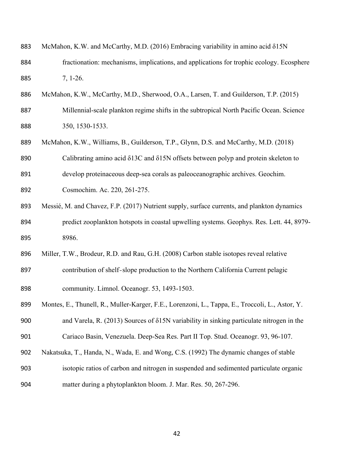| 883 | McMahon, K.W. and McCarthy, M.D. (2016) Embracing variability in amino acid δ15N                   |
|-----|----------------------------------------------------------------------------------------------------|
| 884 | fractionation: mechanisms, implications, and applications for trophic ecology. Ecosphere           |
| 885 | $7, 1-26.$                                                                                         |
| 886 | McMahon, K.W., McCarthy, M.D., Sherwood, O.A., Larsen, T. and Guilderson, T.P. (2015)              |
| 887 | Millennial-scale plankton regime shifts in the subtropical North Pacific Ocean. Science            |
| 888 | 350, 1530-1533.                                                                                    |
| 889 | McMahon, K.W., Williams, B., Guilderson, T.P., Glynn, D.S. and McCarthy, M.D. (2018)               |
| 890 | Calibrating amino acid $\delta$ 13C and $\delta$ 15N offsets between polyp and protein skeleton to |
| 891 | develop proteinaceous deep-sea corals as paleoceanographic archives. Geochim.                      |
| 892 | Cosmochim. Ac. 220, 261-275.                                                                       |
| 893 | Messié, M. and Chavez, F.P. (2017) Nutrient supply, surface currents, and plankton dynamics        |
| 894 | predict zooplankton hotspots in coastal upwelling systems. Geophys. Res. Lett. 44, 8979-           |
| 895 | 8986.                                                                                              |
| 896 | Miller, T.W., Brodeur, R.D. and Rau, G.H. (2008) Carbon stable isotopes reveal relative            |
| 897 | contribution of shelf-slope production to the Northern California Current pelagic                  |
| 898 | community. Limnol. Oceanogr. 53, 1493-1503.                                                        |
| 899 | Montes, E., Thunell, R., Muller-Karger, F.E., Lorenzoni, L., Tappa, E., Troccoli, L., Astor, Y.    |
| 900 | and Varela, R. $(2013)$ Sources of $\delta$ 15N variability in sinking particulate nitrogen in the |
| 901 | Cariaco Basin, Venezuela. Deep-Sea Res. Part II Top. Stud. Oceanogr. 93, 96-107.                   |
| 902 | Nakatsuka, T., Handa, N., Wada, E. and Wong, C.S. (1992) The dynamic changes of stable             |
| 903 | isotopic ratios of carbon and nitrogen in suspended and sedimented particulate organic             |
| 904 | matter during a phytoplankton bloom. J. Mar. Res. 50, 267-296.                                     |
|     |                                                                                                    |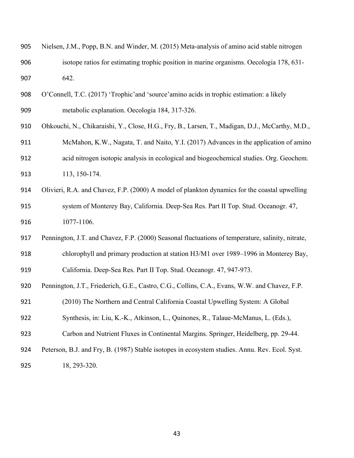| 906 | isotope ratios for estimating trophic position in marine organisms. Oecologia 178, 631-           |
|-----|---------------------------------------------------------------------------------------------------|
| 907 | 642.                                                                                              |
| 908 | O'Connell, T.C. (2017) 'Trophic'and 'source'amino acids in trophic estimation: a likely           |
| 909 | metabolic explanation. Oecologia 184, 317-326.                                                    |
| 910 | Ohkouchi, N., Chikaraishi, Y., Close, H.G., Fry, B., Larsen, T., Madigan, D.J., McCarthy, M.D.,   |
| 911 | McMahon, K.W., Nagata, T. and Naito, Y.I. (2017) Advances in the application of amino             |
| 912 | acid nitrogen isotopic analysis in ecological and biogeochemical studies. Org. Geochem.           |
| 913 | 113, 150-174.                                                                                     |
| 914 | Olivieri, R.A. and Chavez, F.P. (2000) A model of plankton dynamics for the coastal upwelling     |
| 915 | system of Monterey Bay, California. Deep-Sea Res. Part II Top. Stud. Oceanogr. 47,                |
| 916 | 1077-1106.                                                                                        |
| 917 | Pennington, J.T. and Chavez, F.P. (2000) Seasonal fluctuations of temperature, salinity, nitrate, |
| 918 | chlorophyll and primary production at station H3/M1 over 1989–1996 in Monterey Bay,               |
| 919 | California. Deep-Sea Res. Part II Top. Stud. Oceanogr. 47, 947-973.                               |
| 920 | Pennington, J.T., Friederich, G.E., Castro, C.G., Collins, C.A., Evans, W.W. and Chavez, F.P.     |
| 921 | (2010) The Northern and Central California Coastal Upwelling System: A Global                     |
| 922 | Synthesis, in: Liu, K.-K., Atkinson, L., Quinones, R., Talaue-McManus, L. (Eds.),                 |
| 923 | Carbon and Nutrient Fluxes in Continental Margins. Springer, Heidelberg, pp. 29-44.               |
| 924 | Peterson, B.J. and Fry, B. (1987) Stable isotopes in ecosystem studies. Annu. Rev. Ecol. Syst.    |
| 925 | 18, 293-320.                                                                                      |
|     |                                                                                                   |

Nielsen, J.M., Popp, B.N. and Winder, M. (2015) Meta-analysis of amino acid stable nitrogen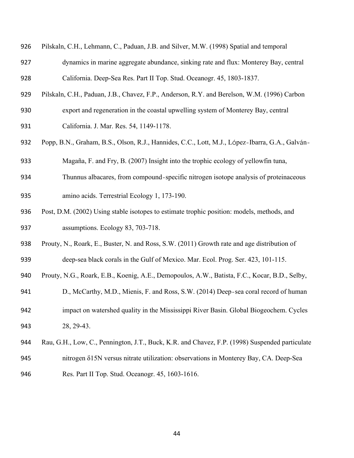| 926 | Pilskaln, C.H., Lehmann, C., Paduan, J.B. and Silver, M.W. (1998) Spatial and temporal         |
|-----|------------------------------------------------------------------------------------------------|
| 927 | dynamics in marine aggregate abundance, sinking rate and flux: Monterey Bay, central           |
| 928 | California. Deep-Sea Res. Part II Top. Stud. Oceanogr. 45, 1803-1837.                          |
| 929 | Pilskaln, C.H., Paduan, J.B., Chavez, F.P., Anderson, R.Y. and Berelson, W.M. (1996) Carbon    |
| 930 | export and regeneration in the coastal upwelling system of Monterey Bay, central               |
| 931 | California. J. Mar. Res. 54, 1149-1178.                                                        |
| 932 | Popp, B.N., Graham, B.S., Olson, R.J., Hannides, C.C., Lott, M.J., López-Ibarra, G.A., Galván- |
| 933 | Magaña, F. and Fry, B. (2007) Insight into the trophic ecology of yellowfin tuna,              |
| 934 | Thunnus albacares, from compound-specific nitrogen isotope analysis of proteinaceous           |
| 935 | amino acids. Terrestrial Ecology 1, 173-190.                                                   |
| 936 | Post, D.M. (2002) Using stable isotopes to estimate trophic position: models, methods, and     |
| 937 | assumptions. Ecology 83, 703-718.                                                              |
| 938 | Prouty, N., Roark, E., Buster, N. and Ross, S.W. (2011) Growth rate and age distribution of    |
| 939 | deep-sea black corals in the Gulf of Mexico. Mar. Ecol. Prog. Ser. 423, 101-115.               |
| 940 | Prouty, N.G., Roark, E.B., Koenig, A.E., Demopoulos, A.W., Batista, F.C., Kocar, B.D., Selby,  |
| 941 | D., McCarthy, M.D., Mienis, F. and Ross, S.W. (2014) Deep-sea coral record of human            |
| 942 | impact on watershed quality in the Mississippi River Basin. Global Biogeochem. Cycles          |
| 943 | 28, 29-43.                                                                                     |
| 944 | Rau, G.H., Low, C., Pennington, J.T., Buck, K.R. and Chavez, F.P. (1998) Suspended particulate |
| 945 | nitrogen $\delta$ 15N versus nitrate utilization: observations in Monterey Bay, CA. Deep-Sea   |
| 946 | Res. Part II Top. Stud. Oceanogr. 45, 1603-1616.                                               |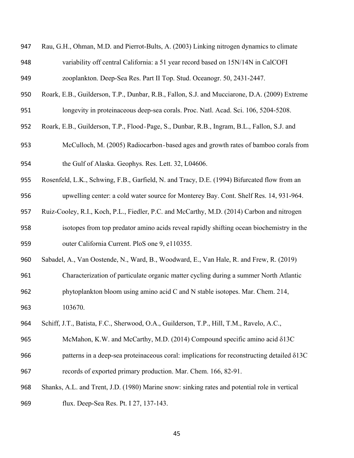| 947 | Rau, G.H., Ohman, M.D. and Pierrot-Bults, A. (2003) Linking nitrogen dynamics to climate |
|-----|------------------------------------------------------------------------------------------|
| 948 | variability off central California: a 51 year record based on 15N/14N in CalCOFI         |
| 949 | zooplankton. Deep-Sea Res. Part II Top. Stud. Oceanogr. 50, 2431-2447.                   |

- Roark, E.B., Guilderson, T.P., Dunbar, R.B., Fallon, S.J. and Mucciarone, D.A. (2009) Extreme
- longevity in proteinaceous deep-sea corals. Proc. Natl. Acad. Sci. 106, 5204-5208.
- Roark, E.B., Guilderson, T.P., Flood-Page, S., Dunbar, R.B., Ingram, B.L., Fallon, S.J. and
- McCulloch, M. (2005) Radiocarbon-based ages and growth rates of bamboo corals from
- the Gulf of Alaska. Geophys. Res. Lett. 32, L04606.
- Rosenfeld, L.K., Schwing, F.B., Garfield, N. and Tracy, D.E. (1994) Bifurcated flow from an upwelling center: a cold water source for Monterey Bay. Cont. Shelf Res. 14, 931-964.
- Ruiz-Cooley, R.I., Koch, P.L., Fiedler, P.C. and McCarthy, M.D. (2014) Carbon and nitrogen
- isotopes from top predator amino acids reveal rapidly shifting ocean biochemistry in the outer California Current. PloS one 9, e110355.
- Sabadel, A., Van Oostende, N., Ward, B., Woodward, E., Van Hale, R. and Frew, R. (2019)
- Characterization of particulate organic matter cycling during a summer North Atlantic phytoplankton bloom using amino acid C and N stable isotopes. Mar. Chem. 214, 103670.
- Schiff, J.T., Batista, F.C., Sherwood, O.A., Guilderson, T.P., Hill, T.M., Ravelo, A.C.,
- McMahon, K.W. and McCarthy, M.D. (2014) Compound specific amino acid δ13C patterns in a deep-sea proteinaceous coral: implications for reconstructing detailed δ13C records of exported primary production. Mar. Chem. 166, 82-91.
- Shanks, A.L. and Trent, J.D. (1980) Marine snow: sinking rates and potential role in vertical flux. Deep-Sea Res. Pt. I 27, 137-143.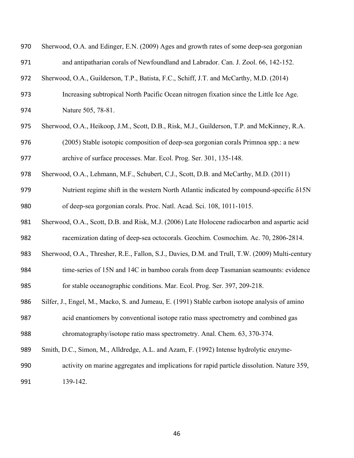| 970 | Sherwood, O.A. and Edinger, E.N. (2009) Ages and growth rates of some deep-sea gorgonian        |
|-----|-------------------------------------------------------------------------------------------------|
| 971 | and antipatharian corals of Newfoundland and Labrador. Can. J. Zool. 66, 142-152.               |
| 972 | Sherwood, O.A., Guilderson, T.P., Batista, F.C., Schiff, J.T. and McCarthy, M.D. (2014)         |
| 973 | Increasing subtropical North Pacific Ocean nitrogen fixation since the Little Ice Age.          |
| 974 | Nature 505, 78-81.                                                                              |
| 975 | Sherwood, O.A., Heikoop, J.M., Scott, D.B., Risk, M.J., Guilderson, T.P. and McKinney, R.A.     |
| 976 | (2005) Stable isotopic composition of deep-sea gorgonian corals Primnoa spp.: a new             |
| 977 | archive of surface processes. Mar. Ecol. Prog. Ser. 301, 135-148.                               |
| 978 | Sherwood, O.A., Lehmann, M.F., Schubert, C.J., Scott, D.B. and McCarthy, M.D. (2011)            |
| 979 | Nutrient regime shift in the western North Atlantic indicated by compound-specific $\delta$ 15N |
| 980 | of deep-sea gorgonian corals. Proc. Natl. Acad. Sci. 108, 1011-1015.                            |
| 981 | Sherwood, O.A., Scott, D.B. and Risk, M.J. (2006) Late Holocene radiocarbon and aspartic acid   |
| 982 | racemization dating of deep-sea octocorals. Geochim. Cosmochim. Ac. 70, 2806-2814.              |
| 983 | Sherwood, O.A., Thresher, R.E., Fallon, S.J., Davies, D.M. and Trull, T.W. (2009) Multi-century |
| 984 | time-series of 15N and 14C in bamboo corals from deep Tasmanian seamounts: evidence             |
| 985 | for stable oceanographic conditions. Mar. Ecol. Prog. Ser. 397, 209-218.                        |
| 986 | Silfer, J., Engel, M., Macko, S. and Jumeau, E. (1991) Stable carbon isotope analysis of amino  |
| 987 | acid enantiomers by conventional isotope ratio mass spectrometry and combined gas               |
| 988 | chromatography/isotope ratio mass spectrometry. Anal. Chem. 63, 370-374.                        |
| 989 | Smith, D.C., Simon, M., Alldredge, A.L. and Azam, F. (1992) Intense hydrolytic enzyme-          |
| 990 | activity on marine aggregates and implications for rapid particle dissolution. Nature 359,      |
| 991 | 139-142.                                                                                        |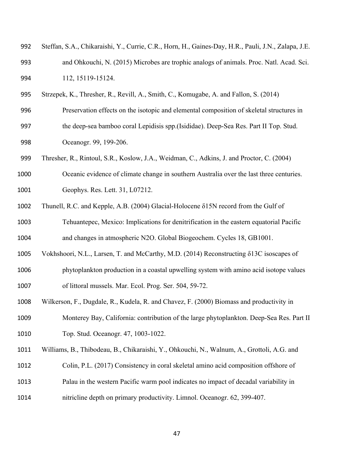| 992 | Steffan, S.A., Chikaraishi, Y., Currie, C.R., Horn, H., Gaines-Day, H.R., Pauli, J.N., Zalapa, J.E. |
|-----|-----------------------------------------------------------------------------------------------------|
| 993 | and Ohkouchi, N. (2015) Microbes are trophic analogs of animals. Proc. Natl. Acad. Sci.             |
| 994 | 112, 15119-15124.                                                                                   |

Strzepek, K., Thresher, R., Revill, A., Smith, C., Komugabe, A. and Fallon, S. (2014)

Preservation effects on the isotopic and elemental composition of skeletal structures in

- the deep-sea bamboo coral Lepidisis spp.(Isididae). Deep-Sea Res. Part II Top. Stud. Oceanogr. 99, 199-206.
- Thresher, R., Rintoul, S.R., Koslow, J.A., Weidman, C., Adkins, J. and Proctor, C. (2004)
- Oceanic evidence of climate change in southern Australia over the last three centuries. Geophys. Res. Lett. 31, L07212.
- Thunell, R.C. and Kepple, A.B. (2004) Glacial-Holocene δ15N record from the Gulf of
- Tehuantepec, Mexico: Implications for denitrification in the eastern equatorial Pacific and changes in atmospheric N2O. Global Biogeochem. Cycles 18, GB1001.
- Vokhshoori, N.L., Larsen, T. and McCarthy, M.D. (2014) Reconstructing δ13C isoscapes of
- phytoplankton production in a coastal upwelling system with amino acid isotope values of littoral mussels. Mar. Ecol. Prog. Ser. 504, 59-72.
- Wilkerson, F., Dugdale, R., Kudela, R. and Chavez, F. (2000) Biomass and productivity in
- Monterey Bay, California: contribution of the large phytoplankton. Deep-Sea Res. Part II Top. Stud. Oceanogr. 47, 1003-1022.
- Williams, B., Thibodeau, B., Chikaraishi, Y., Ohkouchi, N., Walnum, A., Grottoli, A.G. and
- Colin, P.L. (2017) Consistency in coral skeletal amino acid composition offshore of
- Palau in the western Pacific warm pool indicates no impact of decadal variability in
- nitricline depth on primary productivity. Limnol. Oceanogr. 62, 399-407.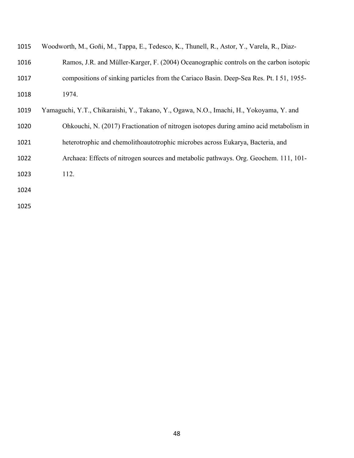| 1015 | Woodworth, M., Goñi, M., Tappa, E., Tedesco, K., Thunell, R., Astor, Y., Varela, R., Diaz- |
|------|--------------------------------------------------------------------------------------------|
| 1016 | Ramos, J.R. and Müller-Karger, F. (2004) Oceanographic controls on the carbon isotopic     |
| 1017 | compositions of sinking particles from the Cariaco Basin. Deep-Sea Res. Pt. 151, 1955–     |
| 1018 | 1974.                                                                                      |
| 1019 | Yamaguchi, Y.T., Chikaraishi, Y., Takano, Y., Ogawa, N.O., Imachi, H., Yokoyama, Y. and    |
| 1020 | Ohkouchi, N. (2017) Fractionation of nitrogen isotopes during amino acid metabolism in     |
| 1021 | heterotrophic and chemolithoautotrophic microbes across Eukarya, Bacteria, and             |
| 1022 | Archaea: Effects of nitrogen sources and metabolic pathways. Org. Geochem. 111, 101-       |
| 1023 | 112.                                                                                       |
| 1024 |                                                                                            |
| 1025 |                                                                                            |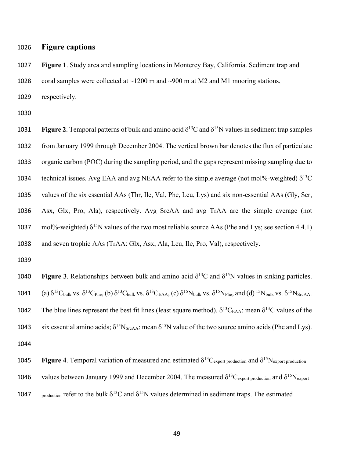### 1026 **Figure captions**

1027 **Figure 1**. Study area and sampling locations in Monterey Bay, California. Sediment trap and 1028 coral samples were collected at  $\sim$ 1200 m and  $\sim$ 900 m at M2 and M1 mooring stations, 1029 respectively.

1030

**Figure 2.** Temporal patterns of bulk and amino acid  $\delta^{13}$ C and  $\delta^{15}$ N values in sediment trap samples from January 1999 through December 2004. The vertical brown bar denotes the flux of particulate organic carbon (POC) during the sampling period, and the gaps represent missing sampling due to 1034 technical issues. Avg EAA and avg NEAA refer to the simple average (not mol%-weighted)  $\delta^{13}C$  values of the six essential AAs (Thr, Ile, Val, Phe, Leu, Lys) and six non-essential AAs (Gly, Ser, Asx, Glx, Pro, Ala), respectively. Avg SrcAA and avg TrAA are the simple average (not 1037 mol%-weighted)  $\delta^{15}N$  values of the two most reliable source AAs (Phe and Lys; see section 4.4.1) and seven trophic AAs (TrAA: Glx, Asx, Ala, Leu, Ile, Pro, Val), respectively.

**1040** Figure 3. Relationships between bulk and amino acid  $\delta^{13}$ C and  $\delta^{15}$ N values in sinking particles. 1041 (a)  $\delta^{13}C_{bulk}$  vs.  $\delta^{13}C_{Phe}$ , (b)  $\delta^{13}C_{bulk}$  vs.  $\delta^{13}C_{EAA}$ , (c)  $\delta^{15}N_{bulk}$  vs.  $\delta^{15}N_{Phe}$ , and (d)  $^{15}N_{bulk}$  vs.  $\delta^{15}N_{SrcAA}$ . 1042 The blue lines represent the best fit lines (least square method).  $\delta^{13}C_{EAA}$ : mean  $\delta^{13}C$  values of the 1043 six essential amino acids;  $\delta^{15}N_{SrcAA}$ : mean  $\delta^{15}N$  value of the two source amino acids (Phe and Lys). 1044

- **1045 Figure 4**. Temporal variation of measured and estimated  $\delta^{13}C_{\text{export production}}$  and  $\delta^{15}N_{\text{export production}}$
- 1046 values between January 1999 and December 2004. The measured  $\delta^{13}C_{\text{export production}}$  and  $\delta^{15}N_{\text{export}}$
- 1047 production refer to the bulk  $\delta^{13}C$  and  $\delta^{15}N$  values determined in sediment traps. The estimated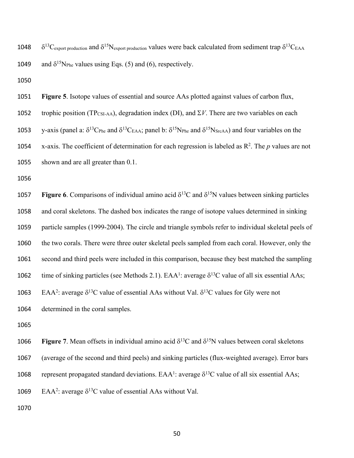1048  $\delta^{13}C_{\text{export production}}$  and  $\delta^{15}N_{\text{export production}}$  values were back calculated from sediment trap  $\delta^{13}C_{\text{EAA}}$ 1049 and  $\delta^{15}N_{\text{Phe}}$  values using Eqs. (5) and (6), respectively.

1050

1051 **Figure 5**. Isotope values of essential and source AAs plotted against values of carbon flux, 1052 trophic position (TP<sub>CSI-AA</sub>), degradation index (DI), and  $\Sigma V$ . There are two variables on each 1053 y-axis (panel a:  $\delta^{13}C_{Phe}$  and  $\delta^{13}C_{EAA}$ ; panel b:  $\delta^{15}N_{Phe}$  and  $\delta^{15}N_{SrcAA}$ ) and four variables on the 1054 x-axis. The coefficient of determination for each regression is labeled as  $\mathbb{R}^2$ . The *p* values are not 1055 shown and are all greater than 0.1.

1056

 Figure 6. Comparisons of individual amino acid  $\delta^{13}$ C and  $\delta^{15}$ N values between sinking particles and coral skeletons. The dashed box indicates the range of isotope values determined in sinking particle samples (1999-2004). The circle and triangle symbols refer to individual skeletal peels of the two corals. There were three outer skeletal peels sampled from each coral. However, only the second and third peels were included in this comparison, because they best matched the sampling 1062 time of sinking particles (see Methods 2.1).  $EAA^1$ : average  $\delta^{13}C$  value of all six essential AAs; 1063 EAA<sup>2</sup>: average  $\delta^{13}C$  value of essential AAs without Val.  $\delta^{13}C$  values for Gly were not determined in the coral samples.

1065

**1066** Figure 7. Mean offsets in individual amino acid  $\delta^{13}$ C and  $\delta^{15}$ N values between coral skeletons 1067 (average of the second and third peels) and sinking particles (flux-weighted average). Error bars 1068 represent propagated standard deviations.  $EAA^1$ : average  $\delta^{13}C$  value of all six essential AAs; 1069 EAA<sup>2</sup>: average  $\delta^{13}$ C value of essential AAs without Val.